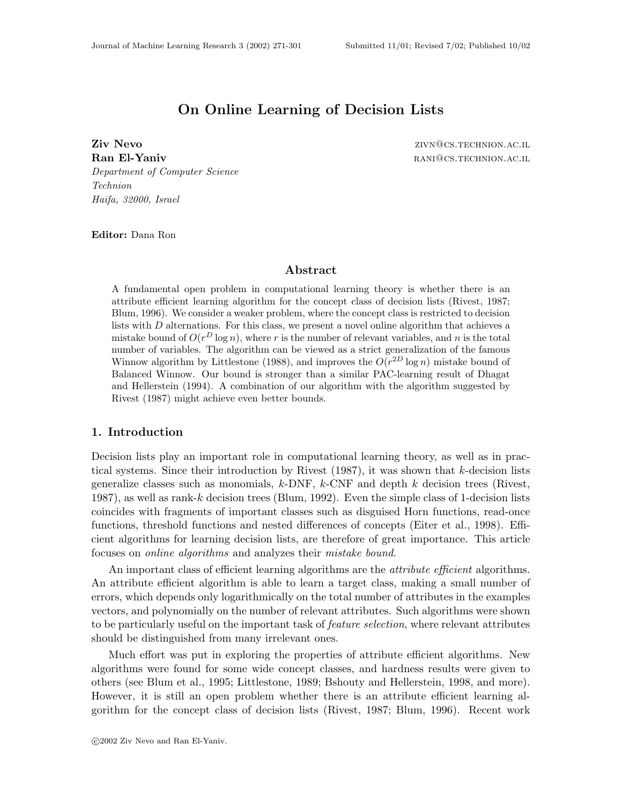# **On Online Learning of Decision Lists**

**Ziv Nevo** zivn@cs.technion.ac.il **Ran El-Yaniv random and the contract of the contract of the contract of the contract of the contract of the contract of the contract of the contract of the contract of the contract of the contract of the contract of the** Department of Computer Science Technion Haifa, 32000, Israel

**Editor:** Dana Ron

### **Abstract**

A fundamental open problem in computational learning theory is whether there is an attribute efficient learning algorithm for the concept class of decision lists (Rivest, 1987; Blum, 1996). We consider a weaker problem, where the concept class is restricted to decision lists with D alternations. For this class, we present a novel online algorithm that achieves a mistake bound of  $O(r^D \log n)$ , where r is the number of relevant variables, and n is the total number of variables. The algorithm can be viewed as a strict generalization of the famous Winnow algorithm by Littlestone (1988), and improves the  $O(r^{2D} \log n)$  mistake bound of Balanced Winnow. Our bound is stronger than a similar PAC-learning result of Dhagat and Hellerstein (1994). A combination of our algorithm with the algorithm suggested by Rivest (1987) might achieve even better bounds.

# **1. Introduction**

Decision lists play an important role in computational learning theory, as well as in practical systems. Since their introduction by Rivest  $(1987)$ , it was shown that k-decision lists generalize classes such as monomials,  $k$ -DNF,  $k$ -CNF and depth  $k$  decision trees (Rivest, 1987), as well as rank-k decision trees (Blum, 1992). Even the simple class of 1-decision lists coincides with fragments of important classes such as disguised Horn functions, read-once functions, threshold functions and nested differences of concepts (Eiter et al., 1998). Efficient algorithms for learning decision lists, are therefore of great importance. This article focuses on *online algorithms* and analyzes their *mistake bound*.

An important class of efficient learning algorithms are the *attribute efficient* algorithms. An attribute efficient algorithm is able to learn a target class, making a small number of errors, which depends only logarithmically on the total number of attributes in the examples vectors, and polynomially on the number of relevant attributes. Such algorithms were shown to be particularly useful on the important task of *feature selection*, where relevant attributes should be distinguished from many irrelevant ones.

Much effort was put in exploring the properties of attribute efficient algorithms. New algorithms were found for some wide concept classes, and hardness results were given to others (see Blum et al., 1995; Littlestone, 1989; Bshouty and Hellerstein, 1998, and more). However, it is still an open problem whether there is an attribute efficient learning algorithm for the concept class of decision lists (Rivest, 1987; Blum, 1996). Recent work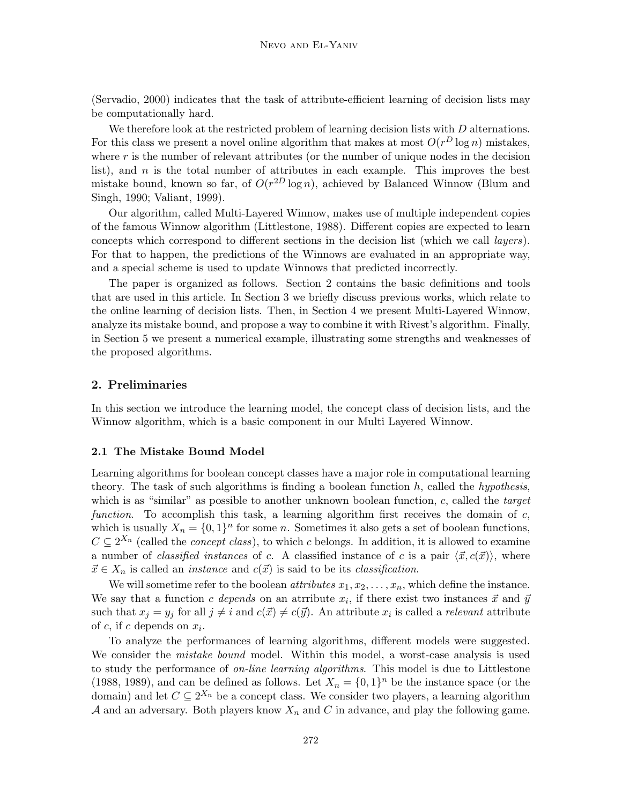(Servadio, 2000) indicates that the task of attribute-efficient learning of decision lists may be computationally hard.

We therefore look at the restricted problem of learning decision lists with  $D$  alternations. For this class we present a novel online algorithm that makes at most  $O(r^D \log n)$  mistakes, where  $r$  is the number of relevant attributes (or the number of unique nodes in the decision list), and  $n$  is the total number of attributes in each example. This improves the best mistake bound, known so far, of  $O(r^{2D} \log n)$ , achieved by Balanced Winnow (Blum and Singh, 1990; Valiant, 1999).

Our algorithm, called Multi-Layered Winnow, makes use of multiple independent copies of the famous Winnow algorithm (Littlestone, 1988). Different copies are expected to learn concepts which correspond to different sections in the decision list (which we call layers). For that to happen, the predictions of the Winnows are evaluated in an appropriate way, and a special scheme is used to update Winnows that predicted incorrectly.

The paper is organized as follows. Section 2 contains the basic definitions and tools that are used in this article. In Section 3 we briefly discuss previous works, which relate to the online learning of decision lists. Then, in Section 4 we present Multi-Layered Winnow, analyze its mistake bound, and propose a way to combine it with Rivest's algorithm. Finally, in Section 5 we present a numerical example, illustrating some strengths and weaknesses of the proposed algorithms.

### **2. Preliminaries**

In this section we introduce the learning model, the concept class of decision lists, and the Winnow algorithm, which is a basic component in our Multi Layered Winnow.

#### **2.1 The Mistake Bound Model**

Learning algorithms for boolean concept classes have a major role in computational learning theory. The task of such algorithms is finding a boolean function  $h$ , called the *hypothesis*, which is as "similar" as possible to another unknown boolean function,  $c$ , called the *target* function. To accomplish this task, a learning algorithm first receives the domain of  $c$ , which is usually  $X_n = \{0,1\}^n$  for some n. Sometimes it also gets a set of boolean functions,  $C \subseteq 2^{X_n}$  (called the *concept class*), to which c belongs. In addition, it is allowed to examine a number of *classified instances* of c. A classified instance of c is a pair  $\langle \vec{x}, c(\vec{x}) \rangle$ , where  $\vec{x} \in X_n$  is called an *instance* and  $c(\vec{x})$  is said to be its *classification*.

We will sometime refer to the boolean *attributes*  $x_1, x_2, \ldots, x_n$ , which define the instance. We say that a function c depends on an atrribute  $x_i$ , if there exist two instances  $\vec{x}$  and  $\vec{y}$ such that  $x_j = y_j$  for all  $j \neq i$  and  $c(\vec{x}) \neq c(\vec{y})$ . An attribute  $x_i$  is called a *relevant* attribute of c, if c depends on  $x_i$ .

To analyze the performances of learning algorithms, different models were suggested. We consider the *mistake bound* model. Within this model, a worst-case analysis is used to study the performance of *on-line learning algorithms*. This model is due to Littlestone (1988, 1989), and can be defined as follows. Let  $X_n = \{0,1\}^n$  be the instance space (or the domain) and let  $C \subseteq 2^{X_n}$  be a concept class. We consider two players, a learning algorithm A and an adversary. Both players know  $X_n$  and C in advance, and play the following game.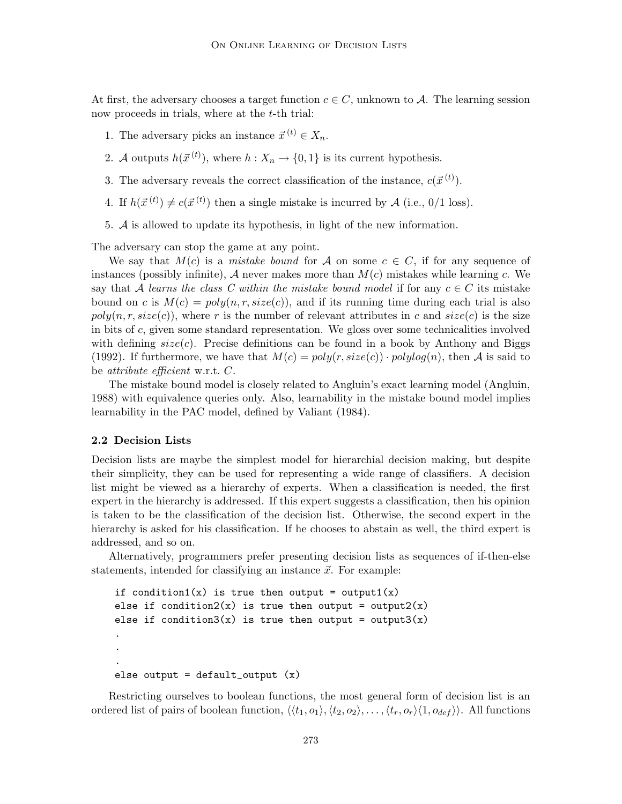At first, the adversary chooses a target function  $c \in C$ , unknown to A. The learning session now proceeds in trials, where at the *t*-th trial:

- 1. The adversary picks an instance  $\vec{x}^{(t)} \in X_n$ .
- 2. A outputs  $h(\vec{x}^{(t)})$ , where  $h : X_n \to \{0,1\}$  is its current hypothesis.
- 3. The adversary reveals the correct classification of the instance,  $c(\vec{x}^{(t)})$ .
- 4. If  $h(\vec{x}^{(t)}) \neq c(\vec{x}^{(t)})$  then a single mistake is incurred by A (i.e., 0/1 loss).
- 5. A is allowed to update its hypothesis, in light of the new information.

The adversary can stop the game at any point.

We say that  $M(c)$  is a *mistake bound* for A on some  $c \in C$ , if for any sequence of instances (possibly infinite), A never makes more than  $M(c)$  mistakes while learning c. We say that A learns the class C within the mistake bound model if for any  $c \in C$  its mistake bound on c is  $M(c) = poly(n, r, size(c))$ , and if its running time during each trial is also  $poly(n, r, size(c))$ , where r is the number of relevant attributes in c and  $size(c)$  is the size in bits of  $c$ , given some standard representation. We gloss over some technicalities involved with defining  $size(c)$ . Precise definitions can be found in a book by Anthony and Biggs (1992). If furthermore, we have that  $M(c) = poly(r, size(c)) \cdot polylog(n)$ , then A is said to be attribute efficient w.r.t. C.

The mistake bound model is closely related to Angluin's exact learning model (Angluin, 1988) with equivalence queries only. Also, learnability in the mistake bound model implies learnability in the PAC model, defined by Valiant (1984).

### **2.2 Decision Lists**

Decision lists are maybe the simplest model for hierarchial decision making, but despite their simplicity, they can be used for representing a wide range of classifiers. A decision list might be viewed as a hierarchy of experts. When a classification is needed, the first expert in the hierarchy is addressed. If this expert suggests a classification, then his opinion is taken to be the classification of the decision list. Otherwise, the second expert in the hierarchy is asked for his classification. If he chooses to abstain as well, the third expert is addressed, and so on.

Alternatively, programmers prefer presenting decision lists as sequences of if-then-else statements, intended for classifying an instance  $\vec{x}$ . For example:

```
if condition1(x) is true then output = output1(x)
else if condition2(x) is true then output = output2(x)else if condition3(x) is true then output = output3(x).
.
.
else output = default_output(x)
```
Restricting ourselves to boolean functions, the most general form of decision list is an ordered list of pairs of boolean function,  $\langle \langle t_1, o_1 \rangle, \langle t_2, o_2 \rangle, \ldots, \langle t_r, o_r \rangle \langle 1, o_{def} \rangle$ . All functions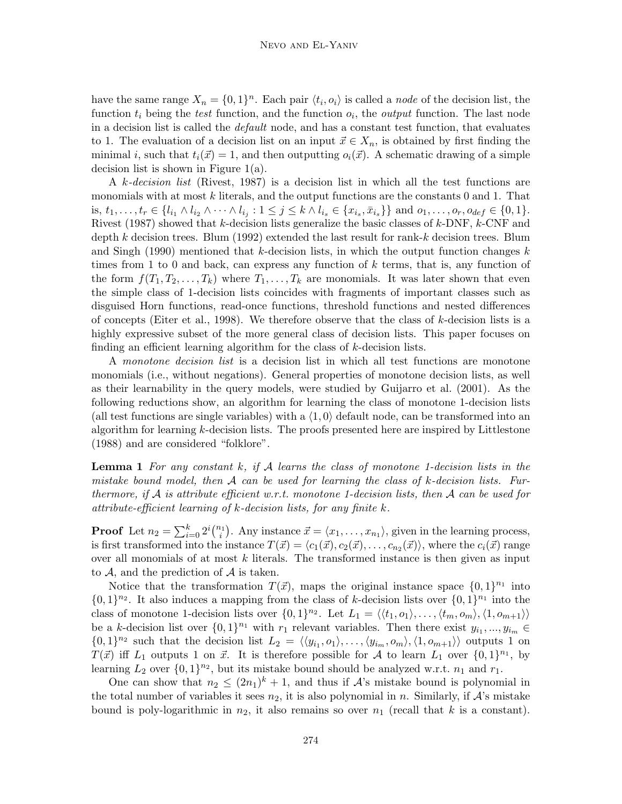have the same range  $X_n = \{0,1\}^n$ . Each pair  $\langle t_i, o_i \rangle$  is called a node of the decision list, the function  $t_i$  being the test function, and the function  $o_i$ , the *output* function. The last node in a decision list is called the default node, and has a constant test function, that evaluates to 1. The evaluation of a decision list on an input  $\vec{x} \in X_n$ , is obtained by first finding the minimal i, such that  $t_i(\vec{x}) = 1$ , and then outputting  $o_i(\vec{x})$ . A schematic drawing of a simple decision list is shown in Figure 1(a).

A k-decision list (Rivest, 1987) is a decision list in which all the test functions are monomials with at most  $k$  literals, and the output functions are the constants  $0$  and  $1$ . That is,  $t_1, \ldots, t_r \in \{l_{i_1} \wedge l_{i_2} \wedge \cdots \wedge l_{i_j} : 1 \leq j \leq k \wedge l_{i_s} \in \{x_{i_s}, \bar{x}_{i_s}\}\}\$ and  $o_1, \ldots, o_r, o_{def} \in \{0, 1\}.$ Rivest (1987) showed that  $k$ -decision lists generalize the basic classes of  $k$ -DNF,  $k$ -CNF and depth k decision trees. Blum (1992) extended the last result for rank-k decision trees. Blum and Singh (1990) mentioned that k-decision lists, in which the output function changes  $k$ times from 1 to 0 and back, can express any function of  $k$  terms, that is, any function of the form  $f(T_1, T_2, \ldots, T_k)$  where  $T_1, \ldots, T_k$  are monomials. It was later shown that even the simple class of 1-decision lists coincides with fragments of important classes such as disguised Horn functions, read-once functions, threshold functions and nested differences of concepts (Eiter et al., 1998). We therefore observe that the class of  $k$ -decision lists is a highly expressive subset of the more general class of decision lists. This paper focuses on finding an efficient learning algorithm for the class of k-decision lists.

A monotone decision list is a decision list in which all test functions are monotone monomials (i.e., without negations). General properties of monotone decision lists, as well as their learnability in the query models, were studied by Guijarro et al. (2001). As the following reductions show, an algorithm for learning the class of monotone 1-decision lists (all test functions are single variables) with a  $(1, 0)$  default node, can be transformed into an algorithm for learning  $k$ -decision lists. The proofs presented here are inspired by Littlestone (1988) and are considered "folklore".

**Lemma 1** For any constant k, if A learns the class of monotone 1-decision lists in the mistake bound model, then  $A$  can be used for learning the class of k-decision lists. Furthermore, if A is attribute efficient w.r.t. monotone 1-decision lists, then A can be used for attribute-efficient learning of k-decision lists, for any finite k.

**Proof** Let  $n_2 = \sum_{i=0}^{k} 2^i {n_1 \choose i}$ . Any instance  $\vec{x} = \langle x_1, \ldots, x_{n_1} \rangle$ , given in the learning process, is first transformed into the instance  $T(\vec{x}) = \langle c_1(\vec{x}), c_2(\vec{x}), \ldots, c_{n_2}(\vec{x}) \rangle$ , where the  $c_i(\vec{x})$  range over all monomials of at most  $k$  literals. The transformed instance is then given as input to  $A$ , and the prediction of  $A$  is taken.

Notice that the transformation  $T(\vec{x})$ , maps the original instance space  $\{0, 1\}^{n_1}$  into  $\{0,1\}^{n_2}$ . It also induces a mapping from the class of k-decision lists over  $\{0,1\}^{n_1}$  into the class of monotone 1-decision lists over  $\{0, 1\}^{n_2}$ . Let  $L_1 = \langle \langle t_1, o_1 \rangle, \ldots, \langle t_m, o_m \rangle, \langle 1, o_{m+1} \rangle \rangle$ be a k-decision list over  $\{0,1\}^{n_1}$  with  $r_1$  relevant variables. Then there exist  $y_{i_1},...,y_{i_m} \in$  $\{0,1\}^{n_2}$  such that the decision list  $L_2 = \langle\langle y_{i_1}, o_1\rangle, \ldots, \langle y_{i_m}, o_m\rangle, \langle 1, o_{m+1}\rangle\rangle$  outputs 1 on  $T(\vec{x})$  iff  $L_1$  outputs 1 on  $\vec{x}$ . It is therefore possible for A to learn  $L_1$  over  $\{0, 1\}^{n_1}$ , by learning  $L_2$  over  $\{0,1\}^{n_2}$ , but its mistake bound should be analyzed w.r.t.  $n_1$  and  $r_1$ .

One can show that  $n_2 \leq (2n_1)^k + 1$ , and thus if A's mistake bound is polynomial in the total number of variables it sees  $n_2$ , it is also polynomial in n. Similarly, if  $\mathcal{A}$ 's mistake bound is poly-logarithmic in  $n_2$ , it also remains so over  $n_1$  (recall that k is a constant).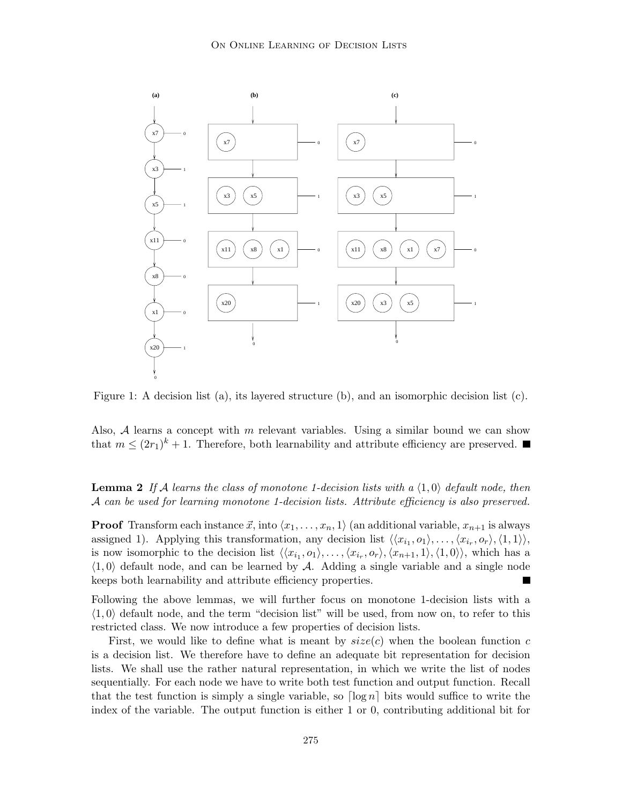

Figure 1: A decision list (a), its layered structure (b), and an isomorphic decision list (c).

Also,  $A$  learns a concept with m relevant variables. Using a similar bound we can show that  $m \leq (2r_1)^k + 1$ . Therefore, both learnability and attribute efficiency are preserved.

**Lemma 2** If A learns the class of monotone 1-decision lists with a  $\langle 1, 0 \rangle$  default node, then A can be used for learning monotone 1-decision lists. Attribute efficiency is also preserved.

**Proof** Transform each instance  $\vec{x}$ , into  $\langle x_1, \ldots, x_n, 1 \rangle$  (an additional variable,  $x_{n+1}$  is always assigned 1). Applying this transformation, any decision list  $\langle\langle x_{i_1}, o_1\rangle, \ldots, \langle x_{i_r}, o_r\rangle, \langle 1, 1\rangle\rangle$ , is now isomorphic to the decision list  $\langle\langle x_{i_1}, o_1\rangle, \ldots, \langle x_{i_r}, o_r\rangle, \langle x_{n+1}, 1\rangle, \langle 1, 0\rangle\rangle$ , which has a  $\langle 1, 0 \rangle$  default node, and can be learned by A. Adding a single variable and a single node keeps both learnability and attribute efficiency properties.

Following the above lemmas, we will further focus on monotone 1-decision lists with a  $\langle 1, 0 \rangle$  default node, and the term "decision list" will be used, from now on, to refer to this restricted class. We now introduce a few properties of decision lists.

First, we would like to define what is meant by  $size(c)$  when the boolean function c is a decision list. We therefore have to define an adequate bit representation for decision lists. We shall use the rather natural representation, in which we write the list of nodes sequentially. For each node we have to write both test function and output function. Recall that the test function is simply a single variable, so  $\lceil \log n \rceil$  bits would suffice to write the index of the variable. The output function is either 1 or 0, contributing additional bit for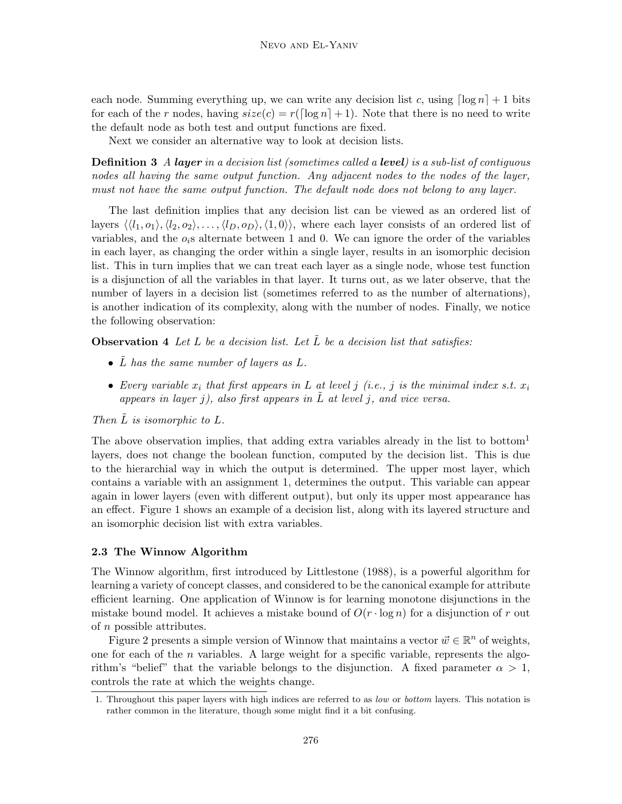each node. Summing everything up, we can write any decision list c, using  $\lceil \log n \rceil + 1$  bits for each of the r nodes, having  $size(c) = r(\lceil \log n \rceil + 1)$ . Note that there is no need to write the default node as both test and output functions are fixed.

Next we consider an alternative way to look at decision lists.

**Definition 3** A *layer* in a decision list (sometimes called a *level*) is a sub-list of contiguous nodes all having the same output function. Any adjacent nodes to the nodes of the layer, must not have the same output function. The default node does not belong to any layer.

The last definition implies that any decision list can be viewed as an ordered list of layers  $\langle \langle l_1, o_1 \rangle, \langle l_2, o_2 \rangle, \ldots, \langle l_D, o_D \rangle, \langle 1, 0 \rangle$ , where each layer consists of an ordered list of variables, and the  $o_i$ s alternate between 1 and 0. We can ignore the order of the variables in each layer, as changing the order within a single layer, results in an isomorphic decision list. This in turn implies that we can treat each layer as a single node, whose test function is a disjunction of all the variables in that layer. It turns out, as we later observe, that the number of layers in a decision list (sometimes referred to as the number of alternations), is another indication of its complexity, along with the number of nodes. Finally, we notice the following observation:

**Observation 4** Let L be a decision list. Let  $\tilde{L}$  be a decision list that satisfies:

- $\tilde{L}$  has the same number of layers as  $L$ .
- Every variable  $x_i$  that first appears in L at level j (i.e., j is the minimal index s.t.  $x_i$ appears in layer j), also first appears in  $L$  at level j, and vice versa.

Then  $L$  is isomorphic to  $L$ .

The above observation implies, that adding extra variables already in the list to bottom<sup>1</sup> layers, does not change the boolean function, computed by the decision list. This is due to the hierarchial way in which the output is determined. The upper most layer, which contains a variable with an assignment 1, determines the output. This variable can appear again in lower layers (even with different output), but only its upper most appearance has an effect. Figure 1 shows an example of a decision list, along with its layered structure and an isomorphic decision list with extra variables.

# **2.3 The Winnow Algorithm**

The Winnow algorithm, first introduced by Littlestone (1988), is a powerful algorithm for learning a variety of concept classes, and considered to be the canonical example for attribute efficient learning. One application of Winnow is for learning monotone disjunctions in the mistake bound model. It achieves a mistake bound of  $O(r \cdot \log n)$  for a disjunction of r out of n possible attributes.

Figure 2 presents a simple version of Winnow that maintains a vector  $\vec{w} \in \mathbb{R}^n$  of weights, one for each of the n variables. A large weight for a specific variable, represents the algorithm's "belief" that the variable belongs to the disjunction. A fixed parameter  $\alpha > 1$ , controls the rate at which the weights change.

<sup>1.</sup> Throughout this paper layers with high indices are referred to as low or bottom layers. This notation is rather common in the literature, though some might find it a bit confusing.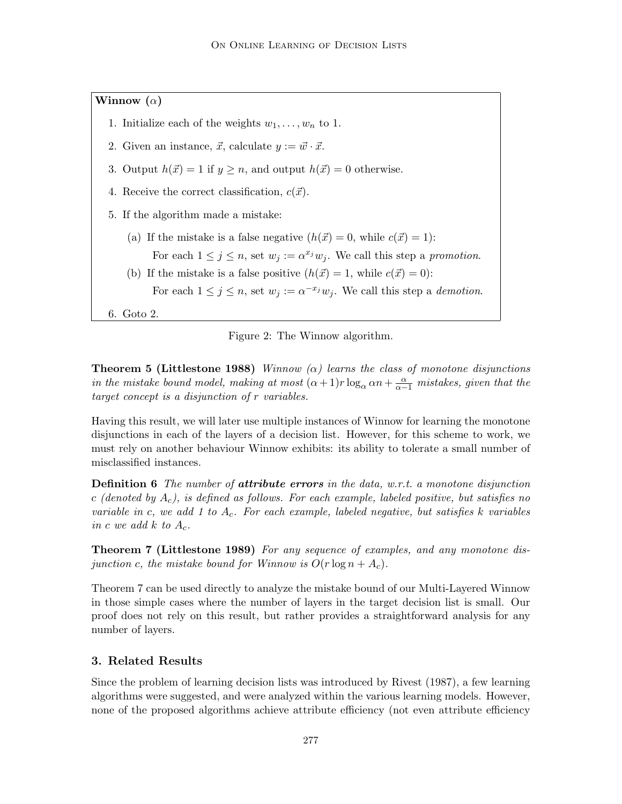**Winnow (**α**)**

- 1. Initialize each of the weights  $w_1, \ldots, w_n$  to 1.
- 2. Given an instance,  $\vec{x}$ , calculate  $y := \vec{w} \cdot \vec{x}$ .
- 3. Output  $h(\vec{x}) = 1$  if  $y \ge n$ , and output  $h(\vec{x}) = 0$  otherwise.
- 4. Receive the correct classification,  $c(\vec{x})$ .
- 5. If the algorithm made a mistake:
	- (a) If the mistake is a false negative  $(h(\vec{x}) = 0$ , while  $c(\vec{x}) = 1$ : For each  $1 \leq j \leq n$ , set  $w_j := \alpha^{x_j} w_j$ . We call this step a promotion.
	- (b) If the mistake is a false positive  $(h(\vec{x}) = 1,$  while  $c(\vec{x}) = 0)$ : For each  $1 \leq j \leq n$ , set  $w_j := \alpha^{-x_j} w_j$ . We call this step a *demotion*.
- 6. Goto 2.



**Theorem 5 (Littlestone 1988)** Winnow  $(\alpha)$  learns the class of monotone disjunctions in the mistake bound model, making at most  $(\alpha+1)r \log_{\alpha} \alpha n + \frac{\alpha}{\alpha-1}$  mistakes, given that the target concept is a disjunction of r variables.

Having this result, we will later use multiple instances of Winnow for learning the monotone disjunctions in each of the layers of a decision list. However, for this scheme to work, we must rely on another behaviour Winnow exhibits: its ability to tolerate a small number of misclassified instances.

**Definition 6** The number of *attribute errors* in the data, w.r.t. a monotone disjunction c (denoted by  $A_c$ ), is defined as follows. For each example, labeled positive, but satisfies no variable in c, we add 1 to  $A_c$ . For each example, labeled negative, but satisfies k variables in c we add  $k$  to  $A_c$ .

**Theorem 7 (Littlestone 1989)** For any sequence of examples, and any monotone disjunction c, the mistake bound for Winnow is  $O(r \log n + A_c)$ .

Theorem 7 can be used directly to analyze the mistake bound of our Multi-Layered Winnow in those simple cases where the number of layers in the target decision list is small. Our proof does not rely on this result, but rather provides a straightforward analysis for any number of layers.

### **3. Related Results**

Since the problem of learning decision lists was introduced by Rivest (1987), a few learning algorithms were suggested, and were analyzed within the various learning models. However, none of the proposed algorithms achieve attribute efficiency (not even attribute efficiency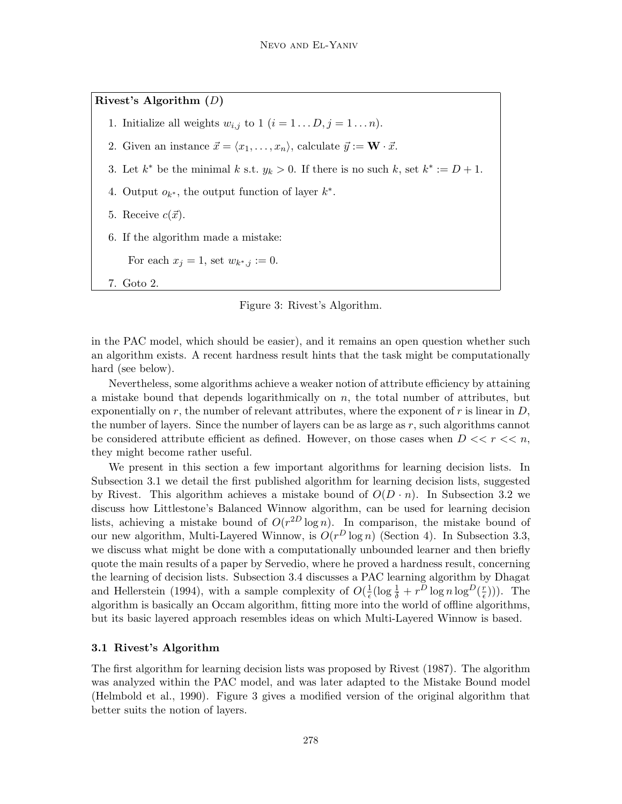**Rivest's Algorithm (**D**)**

- 1. Initialize all weights  $w_{i,j}$  to  $1$   $(i = 1...D, j = 1...n)$ .
- 2. Given an instance  $\vec{x} = \langle x_1, \ldots, x_n \rangle$ , calculate  $\vec{y} := \mathbf{W} \cdot \vec{x}$ .
- 3. Let  $k^*$  be the minimal k s.t.  $y_k > 0$ . If there is no such k, set  $k^* := D + 1$ .
- 4. Output  $o_{k^*}$ , the output function of layer  $k^*$ .
- 5. Receive  $c(\vec{x})$ .
- 6. If the algorithm made a mistake:

For each  $x_j = 1$ , set  $w_{k^*,j} := 0$ .

7. Goto 2.

Figure 3: Rivest's Algorithm.

in the PAC model, which should be easier), and it remains an open question whether such an algorithm exists. A recent hardness result hints that the task might be computationally hard (see below).

Nevertheless, some algorithms achieve a weaker notion of attribute efficiency by attaining a mistake bound that depends logarithmically on  $n$ , the total number of attributes, but exponentially on r, the number of relevant attributes, where the exponent of r is linear in  $D$ , the number of layers. Since the number of layers can be as large as  $r$ , such algorithms cannot be considered attribute efficient as defined. However, on those cases when  $D \ll r \ll n$ , they might become rather useful.

We present in this section a few important algorithms for learning decision lists. In Subsection 3.1 we detail the first published algorithm for learning decision lists, suggested by Rivest. This algorithm achieves a mistake bound of  $O(D \cdot n)$ . In Subsection 3.2 we discuss how Littlestone's Balanced Winnow algorithm, can be used for learning decision lists, achieving a mistake bound of  $O(r^{2D} \log n)$ . In comparison, the mistake bound of our new algorithm, Multi-Layered Winnow, is  $O(r^D \log n)$  (Section 4). In Subsection 3.3, we discuss what might be done with a computationally unbounded learner and then briefly quote the main results of a paper by Servedio, where he proved a hardness result, concerning the learning of decision lists. Subsection 3.4 discusses a PAC learning algorithm by Dhagat and Hellerstein (1994), with a sample complexity of  $O(\frac{1}{\epsilon}(\log \frac{1}{\delta} + r^{\overline{D}} \log n \log^D(\frac{r}{\epsilon})))$ . The algorithm is basically an Occam algorithm, fitting more into the world of offline algorithms, but its basic layered approach resembles ideas on which Multi-Layered Winnow is based.

### **3.1 Rivest's Algorithm**

The first algorithm for learning decision lists was proposed by Rivest (1987). The algorithm was analyzed within the PAC model, and was later adapted to the Mistake Bound model (Helmbold et al., 1990). Figure 3 gives a modified version of the original algorithm that better suits the notion of layers.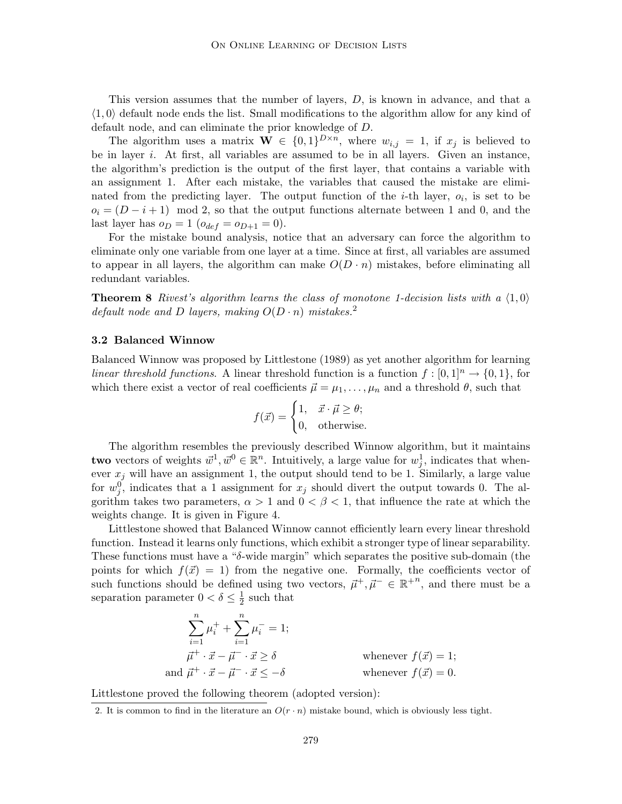This version assumes that the number of layers, D, is known in advance, and that a  $\langle 1, 0 \rangle$  default node ends the list. Small modifications to the algorithm allow for any kind of default node, and can eliminate the prior knowledge of D.

The algorithm uses a matrix  $\mathbf{W} \in \{0,1\}^{D \times n}$ , where  $w_{i,j} = 1$ , if  $x_j$  is believed to be in layer i. At first, all variables are assumed to be in all layers. Given an instance, the algorithm's prediction is the output of the first layer, that contains a variable with an assignment 1. After each mistake, the variables that caused the mistake are eliminated from the predicting layer. The output function of the *i*-th layer,  $o_i$ , is set to be  $o_i = (D - i + 1) \mod 2$ , so that the output functions alternate between 1 and 0, and the last layer has  $o_D = 1$   $(o_{def} = o_{D+1} = 0)$ .

For the mistake bound analysis, notice that an adversary can force the algorithm to eliminate only one variable from one layer at a time. Since at first, all variables are assumed to appear in all layers, the algorithm can make  $O(D \cdot n)$  mistakes, before eliminating all redundant variables.

**Theorem 8** Rivest's algorithm learns the class of monotone 1-decision lists with a  $\langle 1, 0 \rangle$ default node and D layers, making  $O(D \cdot n)$  mistakes.<sup>2</sup>

### **3.2 Balanced Winnow**

Balanced Winnow was proposed by Littlestone (1989) as yet another algorithm for learning linear threshold functions. A linear threshold function is a function  $f : [0,1]^n \to \{0,1\}$ , for which there exist a vector of real coefficients  $\vec{\mu} = \mu_1, \dots, \mu_n$  and a threshold  $\theta$ , such that

$$
f(\vec{x}) = \begin{cases} 1, & \vec{x} \cdot \vec{\mu} \ge \theta; \\ 0, & \text{otherwise.} \end{cases}
$$

The algorithm resembles the previously described Winnow algorithm, but it maintains **two** vectors of weights  $\vec{w}^1, \vec{w}^0 \in \mathbb{R}^n$ . Intuitively, a large value for  $w_j^1$ , indicates that whenever  $x_i$  will have an assignment 1, the output should tend to be 1. Similarly, a large value for  $w_j^0$ , indicates that a 1 assignment for  $x_j$  should divert the output towards 0. The algorithm takes two parameters,  $\alpha > 1$  and  $0 < \beta < 1$ , that influence the rate at which the weights change. It is given in Figure 4.

Littlestone showed that Balanced Winnow cannot efficiently learn every linear threshold function. Instead it learns only functions, which exhibit a stronger type of linear separability. These functions must have a " $\delta$ -wide margin" which separates the positive sub-domain (the points for which  $f(\vec{x}) = 1$ ) from the negative one. Formally, the coefficients vector of such functions should be defined using two vectors,  $\vec{\mu}^+, \vec{\mu}^- \in \mathbb{R}^{+n}$ , and there must be a separation parameter  $0 < \delta \leq \frac{1}{2}$  such that

$$
\sum_{i=1}^{n} \mu_i^+ + \sum_{i=1}^{n} \mu_i^- = 1;
$$
\n
$$
\vec{\mu}^+ \cdot \vec{x} - \vec{\mu}^- \cdot \vec{x} \ge \delta
$$
\nwhere  $f(\vec{x}) = 1$ ;

\nand  $\vec{\mu}^+ \cdot \vec{x} - \vec{\mu}^- \cdot \vec{x} \le -\delta$ 

\nwhenever  $f(\vec{x}) = 0$ .

Littlestone proved the following theorem (adopted version):

<sup>2.</sup> It is common to find in the literature an  $O(r \cdot n)$  mistake bound, which is obviously less tight.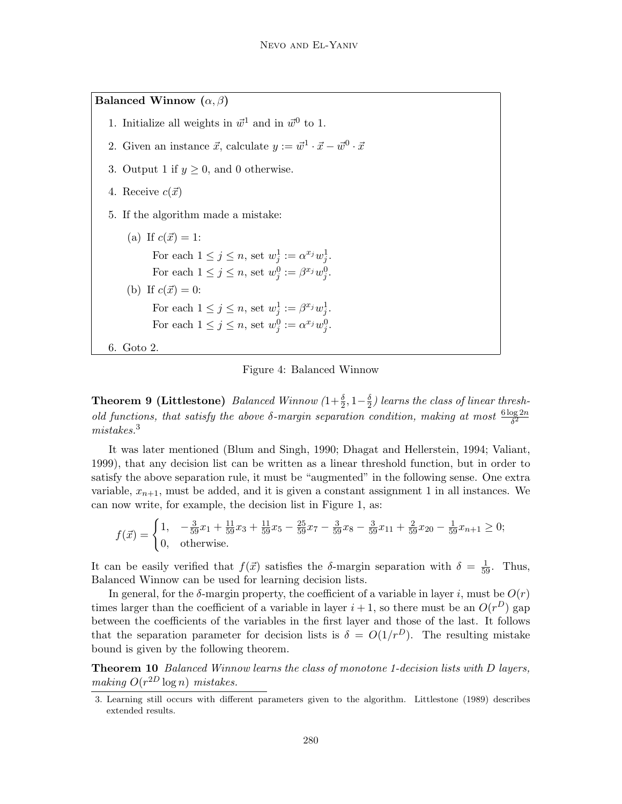**Balanced Winnow**  $(\alpha, \beta)$ 

- 1. Initialize all weights in  $\vec{w}^1$  and in  $\vec{w}^0$  to 1.
- 2. Given an instance  $\vec{x}$ , calculate  $y := \vec{w}^1 \cdot \vec{x} \vec{w}^0 \cdot \vec{x}$
- 3. Output 1 if  $y \geq 0$ , and 0 otherwise.
- 4. Receive  $c(\vec{x})$
- 5. If the algorithm made a mistake:
- (a) If  $c(\vec{x}) = 1$ : For each  $1 \leq j \leq n$ , set  $w_j^1 := \alpha^{x_j} w_j^1$ . For each  $1 \leq j \leq n$ , set  $w_j^0 := \beta^{x_j} w_j^0$ . (b) If  $c(\vec{x}) = 0$ : For each  $1 \leq j \leq n$ , set  $w_j^1 := \beta^{x_j} w_j^1$ . For each  $1 \leq j \leq n$ , set  $w_j^0 := \alpha^{x_j} w_j^0$ . 6. Goto 2.



**Theorem 9 (Littlestone)** Balanced Winnow  $(1+\frac{\delta}{2}, 1-\frac{\delta}{2})$  learns the class of linear threshold functions, that satisfy the above  $\delta$ -margin separation condition, making at most  $\frac{6 \log 2n}{\delta^2}$ mistakes.<sup>3</sup>

It was later mentioned (Blum and Singh, 1990; Dhagat and Hellerstein, 1994; Valiant, 1999), that any decision list can be written as a linear threshold function, but in order to satisfy the above separation rule, it must be "augmented" in the following sense. One extra variable,  $x_{n+1}$ , must be added, and it is given a constant assignment 1 in all instances. We can now write, for example, the decision list in Figure 1, as:

$$
f(\vec{x}) = \begin{cases} 1, & -\frac{3}{59}x_1 + \frac{11}{59}x_3 + \frac{11}{59}x_5 - \frac{25}{59}x_7 - \frac{3}{59}x_8 - \frac{3}{59}x_{11} + \frac{2}{59}x_{20} - \frac{1}{59}x_{n+1} \ge 0; \\ 0, & \text{otherwise.} \end{cases}
$$

It can be easily verified that  $f(\vec{x})$  satisfies the δ-margin separation with  $\delta = \frac{1}{59}$ . Thus, Balanced Winnow can be used for learning decision lists.

In general, for the  $\delta$ -margin property, the coefficient of a variable in layer i, must be  $O(r)$ times larger than the coefficient of a variable in layer  $i + 1$ , so there must be an  $O(r^D)$  gap between the coefficients of the variables in the first layer and those of the last. It follows that the separation parameter for decision lists is  $\delta = O(1/r^D)$ . The resulting mistake bound is given by the following theorem.

**Theorem 10** Balanced Winnow learns the class of monotone 1-decision lists with D layers, making  $O(r^{2D} \log n)$  mistakes.

<sup>3.</sup> Learning still occurs with different parameters given to the algorithm. Littlestone (1989) describes extended results.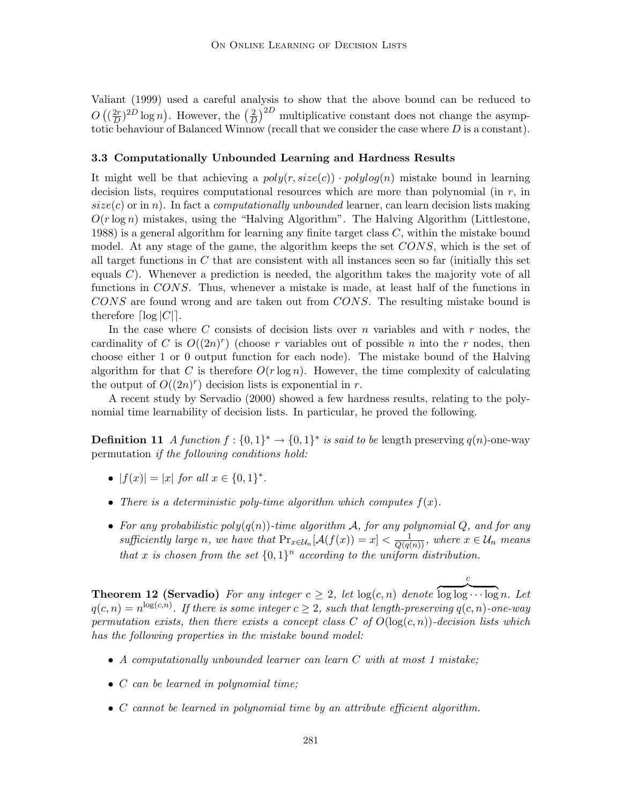Valiant (1999) used a careful analysis to show that the above bound can be reduced to  $O\left(\left(\frac{2r}{D}\right)^{2D}\log n\right)$ . However, the  $\left(\frac{2}{D}\right)^{2D}$  multiplicative constant does not change the asymptotic behaviour of Balanced Winnow (recall that we consider the case where  $D$  is a constant).

### **3.3 Computationally Unbounded Learning and Hardness Results**

It might well be that achieving a  $poly(r, size(c)) \cdot polylog(n)$  mistake bound in learning decision lists, requires computational resources which are more than polynomial (in  $r$ , in  $size(c)$  or in n). In fact a *computationally unbounded* learner, can learn decision lists making  $O(r \log n)$  mistakes, using the "Halving Algorithm". The Halving Algorithm (Littlestone, 1988) is a general algorithm for learning any finite target class C, within the mistake bound model. At any stage of the game, the algorithm keeps the set CONS, which is the set of all target functions in  $C$  that are consistent with all instances seen so far (initially this set equals  $C$ ). Whenever a prediction is needed, the algorithm takes the majority vote of all functions in CONS. Thus, whenever a mistake is made, at least half of the functions in CONS are found wrong and are taken out from CONS. The resulting mistake bound is therefore  $|\log |C|$ .

In the case where C consists of decision lists over n variables and with  $r$  nodes, the cardinality of C is  $O((2n)^r)$  (choose r variables out of possible n into the r nodes, then choose either 1 or 0 output function for each node). The mistake bound of the Halving algorithm for that C is therefore  $O(r \log n)$ . However, the time complexity of calculating the output of  $O((2n)^r)$  decision lists is exponential in r.

A recent study by Servadio (2000) showed a few hardness results, relating to the polynomial time learnability of decision lists. In particular, he proved the following.

**Definition 11** A function  $f: \{0,1\}^* \to \{0,1\}^*$  is said to be length preserving  $q(n)$ -one-way permutation if the following conditions hold:

- $|f(x)| = |x|$  for all  $x \in \{0, 1\}^*$ .
- There is a deterministic poly-time algorithm which computes  $f(x)$ .
- For any probabilistic poly $(q(n))$ -time algorithm A, for any polynomial Q, and for any sufficiently large n, we have that  $Pr_{x \in \mathcal{U}_n}[\mathcal{A}(f(x)) = x] < \frac{1}{Q(q(n))}$ , where  $x \in \mathcal{U}_n$  means that x is chosen from the set  $\{0,1\}^n$  according to the uniform distribution.

c

**Theorem 12 (Servadio)** For any integer  $c \geq 2$ , let  $log(c, n)$  denote  $\log \log \cdots \log n$ . Let  $q(c,n) = n^{\log(c,n)}$ . If there is some integer  $c \geq 2$ , such that length-preserving  $q(c,n)$ -one-way permutation exists, then there exists a concept class C of  $O(\log(c, n))$ -decision lists which has the following properties in the mistake bound model:

- A computationally unbounded learner can learn C with at most 1 mistake;
- C can be learned in polynomial time;
- C cannot be learned in polynomial time by an attribute efficient algorithm.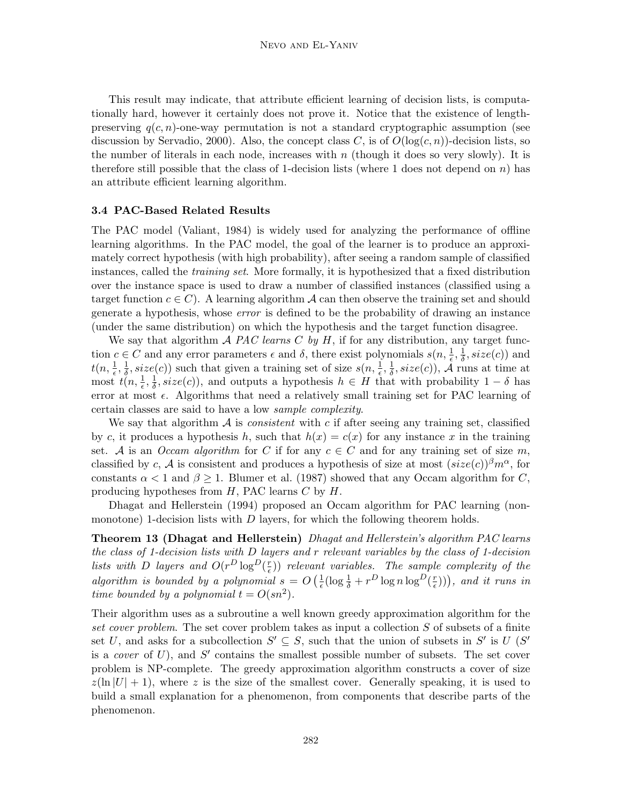This result may indicate, that attribute efficient learning of decision lists, is computationally hard, however it certainly does not prove it. Notice that the existence of lengthpreserving  $q(c, n)$ -one-way permutation is not a standard cryptographic assumption (see discussion by Servadio, 2000). Also, the concept class C, is of  $O(\log(c, n))$ -decision lists, so the number of literals in each node, increases with  $n$  (though it does so very slowly). It is therefore still possible that the class of 1-decision lists (where 1 does not depend on n) has an attribute efficient learning algorithm.

#### **3.4 PAC-Based Related Results**

The PAC model (Valiant, 1984) is widely used for analyzing the performance of offline learning algorithms. In the PAC model, the goal of the learner is to produce an approximately correct hypothesis (with high probability), after seeing a random sample of classified instances, called the training set. More formally, it is hypothesized that a fixed distribution over the instance space is used to draw a number of classified instances (classified using a target function  $c \in C$ ). A learning algorithm A can then observe the training set and should generate a hypothesis, whose error is defined to be the probability of drawing an instance (under the same distribution) on which the hypothesis and the target function disagree.

We say that algorithm  $A$  PAC learns C by H, if for any distribution, any target function  $c \in C$  and any error parameters  $\epsilon$  and  $\delta$ , there exist polynomials  $s(n, \frac{1}{\epsilon}, \frac{1}{\delta}, size(c))$  and  $t(n, \frac{1}{\epsilon}, \frac{1}{\delta}, size(c))$  such that given a training set of size  $s(n, \frac{1}{\epsilon}, \frac{1}{\delta}, size(c))$ ,  $\tilde{A}$  runs at time at most  $t(n, \frac{1}{\epsilon}, \frac{1}{\delta}, size(c))$ , and outputs a hypothesis  $h \in H$  that with probability  $1-\delta$  has error at most  $\epsilon$ . Algorithms that need a relatively small training set for PAC learning of certain classes are said to have a low sample complexity.

We say that algorithm  $\mathcal A$  is *consistent* with c if after seeing any training set, classified by c, it produces a hypothesis h, such that  $h(x) = c(x)$  for any instance x in the training set. A is an Occam algorithm for C if for any  $c \in C$  and for any training set of size m, classified by c, A is consistent and produces a hypothesis of size at most  $(size(c))^{\beta}m^{\alpha}$ , for constants  $\alpha < 1$  and  $\beta \geq 1$ . Blumer et al. (1987) showed that any Occam algorithm for C, producing hypotheses from  $H$ , PAC learns  $C$  by  $H$ .

Dhagat and Hellerstein (1994) proposed an Occam algorithm for PAC learning (nonmonotone) 1-decision lists with  $D$  layers, for which the following theorem holds.

**Theorem 13 (Dhagat and Hellerstein)** Dhagat and Hellerstein's algorithm PAC learns the class of 1-decision lists with  $D$  layers and r relevant variables by the class of 1-decision lists with D layers and  $O(r^D \log^D(\frac{r}{\epsilon}))$  relevant variables. The sample complexity of the algorithm is bounded by a polynomial  $s = O\left(\frac{1}{\epsilon}(\log \frac{1}{\delta} + r^D \log n \log^D(\frac{r}{\epsilon}))\right)$ , and it runs in time bounded by a polynomial  $t = O(s n^2)$ .

Their algorithm uses as a subroutine a well known greedy approximation algorithm for the set cover problem. The set cover problem takes as input a collection S of subsets of a finite set U, and asks for a subcollection  $S' \subseteq S$ , such that the union of subsets in S' is U (S' is a *cover* of  $U$ ), and  $S'$  contains the smallest possible number of subsets. The set cover problem is NP-complete. The greedy approximation algorithm constructs a cover of size  $z(\ln |U| + 1)$ , where z is the size of the smallest cover. Generally speaking, it is used to build a small explanation for a phenomenon, from components that describe parts of the phenomenon.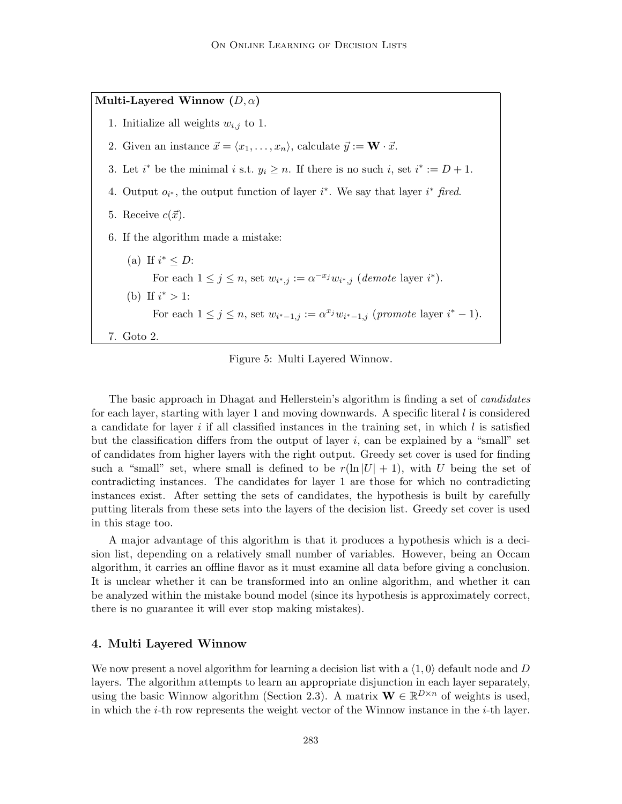**Multi-Layered Winnow (**D, α**)** 1. Initialize all weights  $w_{i,j}$  to 1. 2. Given an instance  $\vec{x} = \langle x_1, \ldots, x_n \rangle$ , calculate  $\vec{y} := \mathbf{W} \cdot \vec{x}$ . 3. Let  $i^*$  be the minimal  $i$  s.t.  $y_i \geq n$ . If there is no such  $i$ , set  $i^* := D + 1$ . 4. Output  $o_{i^*}$ , the output function of layer  $i^*$ . We say that layer  $i^*$  fired. 5. Receive  $c(\vec{x})$ . 6. If the algorithm made a mistake: (a) If  $i^* \leq D$ : For each  $1 \leq j \leq n$ , set  $w_{i^*,j} := \alpha^{-x_j} w_{i^*,j}$  (*demote* layer  $i^*$ ). (b) If  $i^* > 1$ : For each  $1 \le j \le n$ , set  $w_{i^*-1,j} := \alpha^{x_j} w_{i^*-1,j}$  (promote layer  $i^*-1$ ). 7. Goto 2.

Figure 5: Multi Layered Winnow.

The basic approach in Dhagat and Hellerstein's algorithm is finding a set of candidates for each layer, starting with layer 1 and moving downwards. A specific literal  $l$  is considered a candidate for layer  $i$  if all classified instances in the training set, in which  $l$  is satisfied but the classification differs from the output of layer  $i$ , can be explained by a "small" set of candidates from higher layers with the right output. Greedy set cover is used for finding such a "small" set, where small is defined to be  $r(\ln |U| + 1)$ , with U being the set of contradicting instances. The candidates for layer 1 are those for which no contradicting instances exist. After setting the sets of candidates, the hypothesis is built by carefully putting literals from these sets into the layers of the decision list. Greedy set cover is used in this stage too.

A major advantage of this algorithm is that it produces a hypothesis which is a decision list, depending on a relatively small number of variables. However, being an Occam algorithm, it carries an offline flavor as it must examine all data before giving a conclusion. It is unclear whether it can be transformed into an online algorithm, and whether it can be analyzed within the mistake bound model (since its hypothesis is approximately correct, there is no guarantee it will ever stop making mistakes).

# **4. Multi Layered Winnow**

We now present a novel algorithm for learning a decision list with a  $\langle 1, 0 \rangle$  default node and D layers. The algorithm attempts to learn an appropriate disjunction in each layer separately, using the basic Winnow algorithm (Section 2.3). A matrix  $\mathbf{W} \in \mathbb{R}^{D \times n}$  of weights is used, in which the *i*-th row represents the weight vector of the Winnow instance in the *i*-th layer.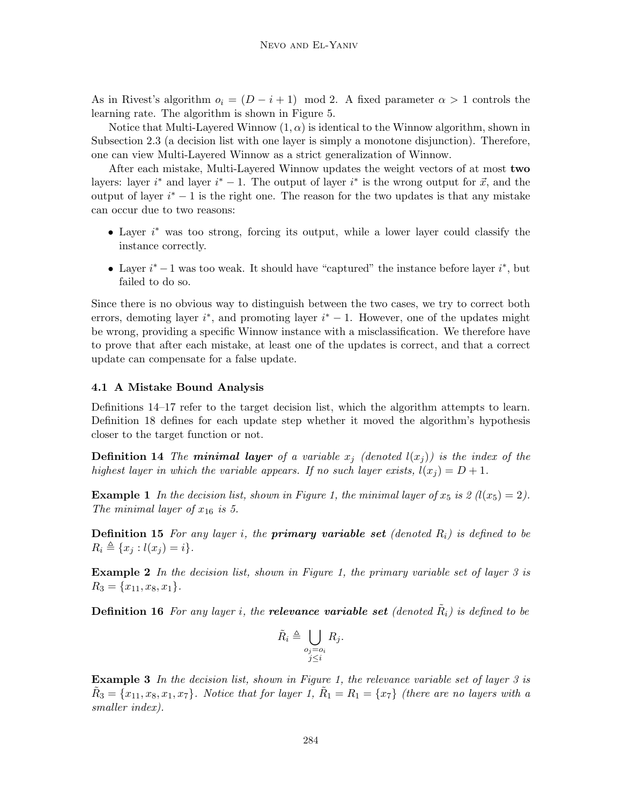As in Rivest's algorithm  $o_i = (D - i + 1) \mod 2$ . A fixed parameter  $\alpha > 1$  controls the learning rate. The algorithm is shown in Figure 5.

Notice that Multi-Layered Winnow  $(1, \alpha)$  is identical to the Winnow algorithm, shown in Subsection 2.3 (a decision list with one layer is simply a monotone disjunction). Therefore, one can view Multi-Layered Winnow as a strict generalization of Winnow.

After each mistake, Multi-Layered Winnow updates the weight vectors of at most **two** layers: layer  $i^*$  and layer  $i^* - 1$ . The output of layer  $i^*$  is the wrong output for  $\vec{x}$ , and the output of layer  $i^* - 1$  is the right one. The reason for the two updates is that any mistake can occur due to two reasons:

- Layer i ∗ was too strong, forcing its output, while a lower layer could classify the instance correctly.
- Layer  $i^* 1$  was too weak. It should have "captured" the instance before layer  $i^*$ , but failed to do so.

Since there is no obvious way to distinguish between the two cases, we try to correct both errors, demoting layer  $i^*$ , and promoting layer  $i^* - 1$ . However, one of the updates might be wrong, providing a specific Winnow instance with a misclassification. We therefore have to prove that after each mistake, at least one of the updates is correct, and that a correct update can compensate for a false update.

#### **4.1 A Mistake Bound Analysis**

Definitions 14–17 refer to the target decision list, which the algorithm attempts to learn. Definition 18 defines for each update step whether it moved the algorithm's hypothesis closer to the target function or not.

**Definition 14** The **minimal layer** of a variable  $x_j$  (denoted  $l(x_j)$ ) is the index of the highest layer in which the variable appears. If no such layer exists,  $l(x_i) = D + 1$ .

**Example 1** In the decision list, shown in Figure 1, the minimal layer of  $x_5$  is  $\mathcal{Z}(l(x_5)=2)$ . The minimal layer of  $x_{16}$  is 5.

**Definition 15** For any layer i, the **primary variable set** (denoted  $R_i$ ) is defined to be  $R_i \triangleq \{x_j : l(x_j) = i\}.$ 

**Example 2** In the decision list, shown in Figure 1, the primary variable set of layer 3 is  $R_3 = \{x_{11}, x_8, x_1\}.$ 

**Definition 16** For any layer i, the **relevance variable set** (denoted  $\tilde{R}_i$ ) is defined to be

$$
\tilde{R}_i \triangleq \bigcup_{\substack{o_j = o_i \\ j \le i}} R_j.
$$

**Example 3** In the decision list, shown in Figure 1, the relevance variable set of layer 3 is  $\tilde{R}_3 = \{x_{11}, x_8, x_1, x_7\}$ . Notice that for layer 1,  $\tilde{R}_1 = R_1 = \{x_7\}$  (there are no layers with a smaller index).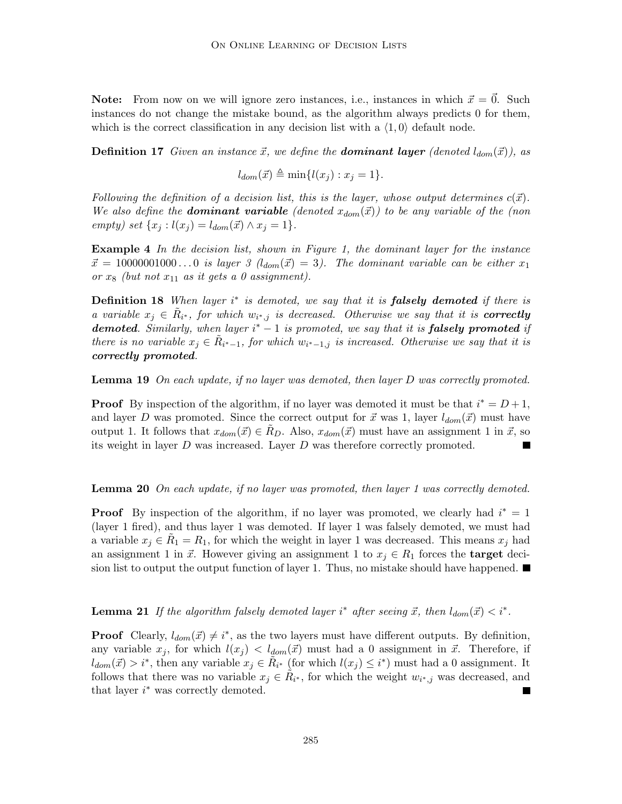**Note:** From now on we will ignore zero instances, i.e., instances in which  $\vec{x} = \vec{0}$ . Such instances do not change the mistake bound, as the algorithm always predicts 0 for them, which is the correct classification in any decision list with a  $\langle 1, 0 \rangle$  default node.

**Definition 17** Given an instance  $\vec{x}$ , we define the **dominant layer** (denoted  $l_{dom}(\vec{x})$ ), as

 $l_{dom}(\vec{x}) \triangleq \min\{l(x_i) : x_i = 1\}.$ 

Following the definition of a decision list, this is the layer, whose output determines  $c(\vec{x})$ . We also define the **dominant variable** (denoted  $x_{dom}(\vec{x})$ ) to be any variable of the (non empty) set  $\{x_i : l(x_i) = l_{dom}(\vec{x}) \wedge x_i = 1\}.$ 

**Example 4** In the decision list, shown in Figure 1, the dominant layer for the instance  $\vec{x} = 10000001000...$  is layer 3  $(l_{dom}(\vec{x})=3)$ . The dominant variable can be either  $x_1$ or  $x_8$  (but not  $x_{11}$  as it gets a 0 assignment).

**Definition 18** When layer i<sup>\*</sup> is demoted, we say that it is **falsely demoted** if there is a variable  $x_j \in R_{i^*}$ , for which  $w_{i^*,j}$  is decreased. Otherwise we say that it is **correctly** demoted. Similarly, when layer i<sup>\*</sup> − 1 is promoted, we say that it is **falsely promoted** if there is no variable  $x_i \in R_{i^*-1}$ , for which  $w_{i^*-1,j}$  is increased. Otherwise we say that it is *correctly promoted*.

**Lemma 19** On each update, if no layer was demoted, then layer D was correctly promoted.

**Proof** By inspection of the algorithm, if no layer was demoted it must be that  $i^* = D + 1$ , and layer D was promoted. Since the correct output for  $\vec{x}$  was 1, layer  $l_{dom}(\vec{x})$  must have output 1. It follows that  $x_{dom}(\vec{x}) \in R_D$ . Also,  $x_{dom}(\vec{x})$  must have an assignment 1 in  $\vec{x}$ , so its weight in layer  $D$  was increased. Layer  $D$  was therefore correctly promoted.

#### **Lemma 20** On each update, if no layer was promoted, then layer 1 was correctly demoted.

**Proof** By inspection of the algorithm, if no layer was promoted, we clearly had  $i^* = 1$ (layer 1 fired), and thus layer 1 was demoted. If layer 1 was falsely demoted, we must had a variable  $x_j \in R_1 = R_1$ , for which the weight in layer 1 was decreased. This means  $x_j$  had an assignment 1 in  $\vec{x}$ . However giving an assignment 1 to  $x_j \in R_1$  forces the **target** decision list to output the output function of layer 1. Thus, no mistake should have happened.  $\blacksquare$ 

**Lemma 21** If the algorithm falsely demoted layer i<sup>\*</sup> after seeing  $\vec{x}$ , then  $l_{dom}(\vec{x}) < i^*$ .

**Proof** Clearly,  $l_{dom}(\vec{x}) \neq i^*$ , as the two layers must have different outputs. By definition, any variable  $x_j$ , for which  $l(x_j) < l_{dom}(\vec{x})$  must had a 0 assignment in  $\vec{x}$ . Therefore, if  $l_{dom}(\vec{x}) > i^*$ , then any variable  $x_j \in \tilde{R}_{i^*}$  (for which  $l(x_j) \leq i^*$ ) must had a 0 assignment. It follows that there was no variable  $x_j \in R_{i^*}$ , for which the weight  $w_{i^*,j}$  was decreased, and that layer  $i^*$  was correctly demoted.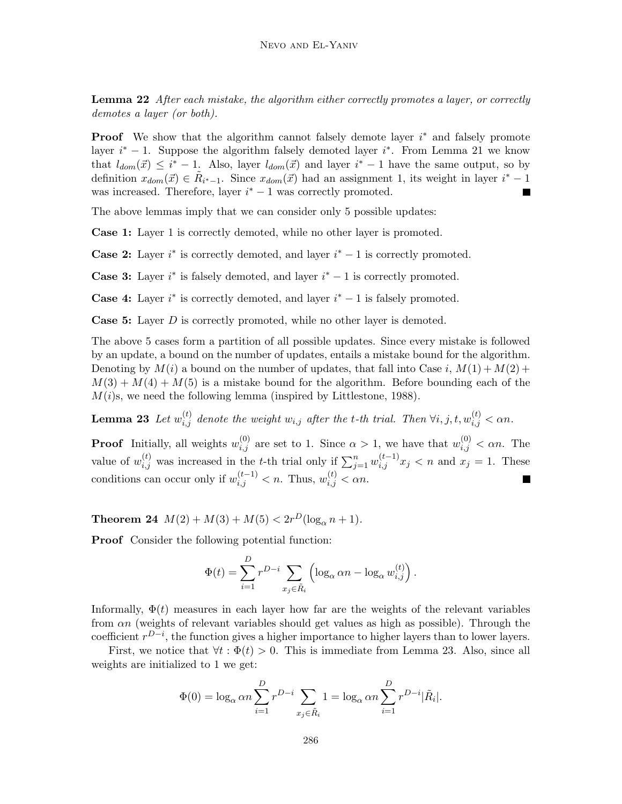**Lemma 22** After each mistake, the algorithm either correctly promotes a layer, or correctly demotes a layer (or both).

**Proof** We show that the algorithm cannot falsely demote layer  $i^*$  and falsely promote layer  $i^* - 1$ . Suppose the algorithm falsely demoted layer  $i^*$ . From Lemma 21 we know that  $l_{dom}(\vec{x}) \leq i^* - 1$ . Also, layer  $l_{dom}(\vec{x})$  and layer  $i^* - 1$  have the same output, so by definition  $x_{dom}(\vec{x}) \in \tilde{R}_{i^*-1}$ . Since  $x_{dom}(\vec{x})$  had an assignment 1, its weight in layer  $i^* - 1$ was increased. Therefore, layer  $i^* - 1$  was correctly promoted. П

The above lemmas imply that we can consider only 5 possible updates:

**Case 1:** Layer 1 is correctly demoted, while no other layer is promoted.

**Case 2:** Layer  $i^*$  is correctly demoted, and layer  $i^* - 1$  is correctly promoted.

**Case 3:** Layer  $i^*$  is falsely demoted, and layer  $i^* - 1$  is correctly promoted.

**Case 4:** Layer  $i^*$  is correctly demoted, and layer  $i^* - 1$  is falsely promoted.

**Case 5:** Layer D is correctly promoted, while no other layer is demoted.

The above 5 cases form a partition of all possible updates. Since every mistake is followed by an update, a bound on the number of updates, entails a mistake bound for the algorithm. Denoting by  $M(i)$  a bound on the number of updates, that fall into Case i,  $M(1) + M(2) +$  $M(3) + M(4) + M(5)$  is a mistake bound for the algorithm. Before bounding each of the  $M(i)$ s, we need the following lemma (inspired by Littlestone, 1988).

**Lemma 23** Let  $w_{i,j}^{(t)}$  denote the weight  $w_{i,j}$  after the t-th trial. Then  $\forall i, j, t, w_{i,j}^{(t)} < \alpha n$ .

**Proof** Initially, all weights  $w_{i,j}^{(0)}$  are set to 1. Since  $\alpha > 1$ , we have that  $w_{i,j}^{(0)} < \alpha n$ . The value of  $w_{i,j}^{(t)}$  was increased in the t-th trial only if  $\sum_{j=1}^{n} w_{i,j}^{(t-1)} x_j < n$  and  $x_j = 1$ . These conditions can occur only if  $w_{i,j}^{(t-1)} < n$ . Thus,  $w_{i,j}^{(t)} < \alpha n$ .

**Theorem 24**  $M(2) + M(3) + M(5) < 2r^D(\log_2 n + 1)$ .

**Proof** Consider the following potential function:

$$
\Phi(t) = \sum_{i=1}^{D} r^{D-i} \sum_{x_j \in \tilde{R}_i} \left( \log_{\alpha} \alpha n - \log_{\alpha} w_{i,j}^{(t)} \right).
$$

Informally,  $\Phi(t)$  measures in each layer how far are the weights of the relevant variables from  $\alpha n$  (weights of relevant variables should get values as high as possible). Through the coefficient  $r^{D-i}$ , the function gives a higher importance to higher layers than to lower layers.

First, we notice that  $\forall t : \Phi(t) > 0$ . This is immediate from Lemma 23. Also, since all weights are initialized to 1 we get:

$$
\Phi(0) = \log_{\alpha} \alpha n \sum_{i=1}^{D} r^{D-i} \sum_{x_j \in \tilde{R}_i} 1 = \log_{\alpha} \alpha n \sum_{i=1}^{D} r^{D-i} |\tilde{R}_i|.
$$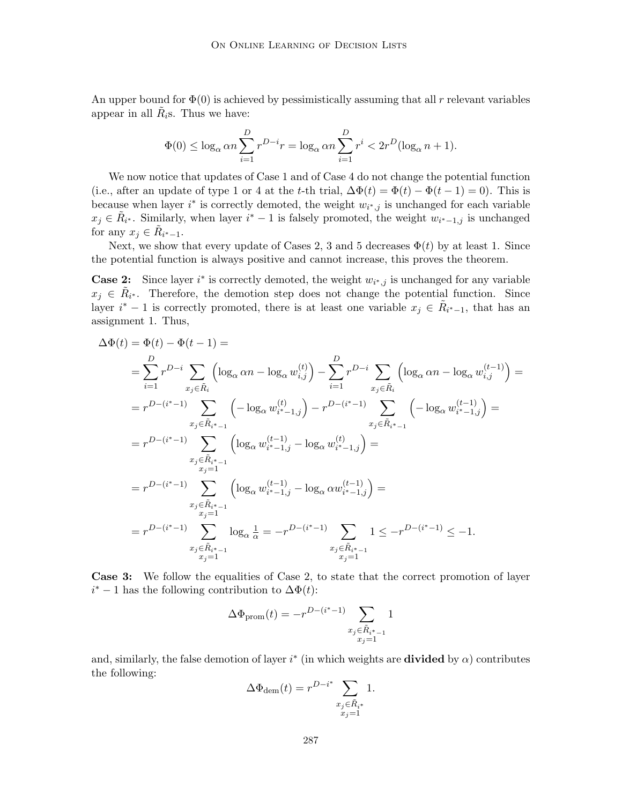An upper bound for  $\Phi(0)$  is achieved by pessimistically assuming that all r relevant variables appear in all  $R_i$ s. Thus we have:

$$
\Phi(0) \le \log_{\alpha} \alpha n \sum_{i=1}^{D} r^{D-i} r = \log_{\alpha} \alpha n \sum_{i=1}^{D} r^{i} < 2r^{D} (\log_{\alpha} n + 1).
$$

We now notice that updates of Case 1 and of Case 4 do not change the potential function (i.e., after an update of type 1 or 4 at the t-th trial,  $\Delta \Phi(t) = \Phi(t) - \Phi(t-1) = 0$ ). This is because when layer  $i^*$  is correctly demoted, the weight  $w_{i^*,j}$  is unchanged for each variable  $x_j \in \tilde{R}_{i^*}$ . Similarly, when layer  $i^* - 1$  is falsely promoted, the weight  $w_{i^* - 1,j}$  is unchanged for any  $x_j \in R_{i^*-1}$ .

Next, we show that every update of Cases 2, 3 and 5 decreases  $\Phi(t)$  by at least 1. Since the potential function is always positive and cannot increase, this proves the theorem.

**Case 2:** Since layer  $i^*$  is correctly demoted, the weight  $w_{i^*,j}$  is unchanged for any variable  $x_j \in R_{i^*}$ . Therefore, the demotion step does not change the potential function. Since layer  $i^* - 1$  is correctly promoted, there is at least one variable  $x_j \in \tilde{R}_{i^*-1}$ , that has an assignment 1. Thus,

$$
\Delta \Phi(t) = \Phi(t) - \Phi(t-1) =
$$
\n
$$
= \sum_{i=1}^{D} r^{D-i} \sum_{x_j \in \tilde{R}_i} \left( \log_{\alpha} \alpha n - \log_{\alpha} w_{i,j}^{(t)} \right) - \sum_{i=1}^{D} r^{D-i} \sum_{x_j \in \tilde{R}_i} \left( \log_{\alpha} \alpha n - \log_{\alpha} w_{i,j}^{(t-1)} \right) =
$$
\n
$$
= r^{D-(i^{*}-1)} \sum_{x_j \in \tilde{R}_{i^{*}-1}} \left( -\log_{\alpha} w_{i^{*}-1,j}^{(t)} \right) - r^{D-(i^{*}-1)} \sum_{x_j \in \tilde{R}_{i^{*}-1}} \left( -\log_{\alpha} w_{i^{*}-1,j}^{(t-1)} \right) =
$$
\n
$$
= r^{D-(i^{*}-1)} \sum_{x_j \in \tilde{R}_{i^{*}-1}} \left( \log_{\alpha} w_{i^{*}-1,j}^{(t-1)} - \log_{\alpha} w_{i^{*}-1,j}^{(t)} \right) =
$$
\n
$$
= r^{D-(i^{*}-1)} \sum_{x_j \in \tilde{R}_{i^{*}-1}} \left( \log_{\alpha} w_{i^{*}-1,j}^{(t-1)} - \log_{\alpha} \alpha w_{i^{*}-1,j}^{(t-1)} \right) =
$$
\n
$$
= r^{D-(i^{*}-1)} \sum_{x_j \in \tilde{R}_{i^{*}-1}} \log_{\alpha} \frac{1}{\alpha} = -r^{D-(i^{*}-1)} \sum_{x_j \in \tilde{R}_{i^{*}-1}} 1 \leq -r^{D-(i^{*}-1)} \leq -1.
$$

**Case 3:** We follow the equalities of Case 2, to state that the correct promotion of layer  $i^*$  – 1 has the following contribution to  $\Delta\Phi(t)$ :

$$
\Delta\Phi_{\rm prom}(t)=-r^{D-(i^*-1)}\sum_{\substack{x_j\in\tilde{R}_{i^*-1}\\x_j=1}}1
$$

and, similarly, the false demotion of layer  $i^*$  (in which weights are **divided** by  $\alpha$ ) contributes the following:

$$
\Delta\Phi_{\text{dem}}(t) = r^{D-i^*} \sum_{\substack{x_j \in \tilde{R}_{i^*} \\ x_j = 1}} 1.
$$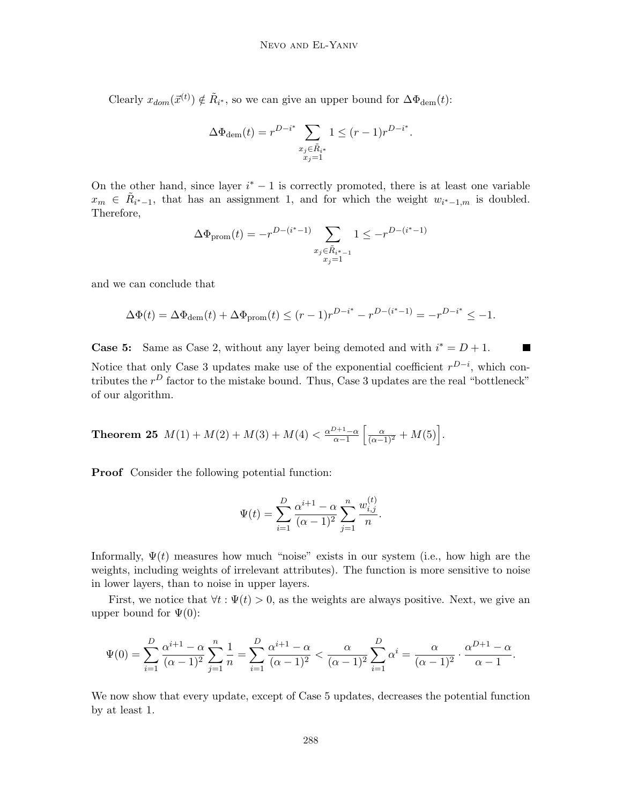Clearly  $x_{dom}(\vec{x}^{(t)}) \notin \tilde{R}_{i^*}$ , so we can give an upper bound for  $\Delta \Phi_{dem}(t)$ :

$$
\Delta \Phi_{\text{dem}}(t) = r^{D-i^*} \sum_{\substack{x_j \in \tilde{R}_{i^*} \\ x_j = 1}} 1 \le (r - 1)r^{D-i^*}.
$$

On the other hand, since layer  $i^* - 1$  is correctly promoted, there is at least one variable  $x_m \in \tilde{R}_{i^*-1}$ , that has an assignment 1, and for which the weight  $w_{i^*-1,m}$  is doubled. Therefore,

$$
\Delta \Phi_{\text{prom}}(t) = -r^{D-(i^{*}-1)} \sum_{\substack{x_j \in \tilde{R}_{i^{*}-1} \\ x_j = 1}} 1 \leq -r^{D-(i^{*}-1)}
$$

and we can conclude that

$$
\Delta \Phi(t) = \Delta \Phi_{\text{dem}}(t) + \Delta \Phi_{\text{prom}}(t) \le (r-1)r^{D-i^*} - r^{D-(i^*-1)} = -r^{D-i^*} \le -1.
$$

**Case 5:** Same as Case 2, without any layer being demoted and with  $i^* = D + 1$ . Notice that only Case 3 updates make use of the exponential coefficient  $r^{D-i}$ , which contributes the  $r^D$  factor to the mistake bound. Thus, Case 3 updates are the real "bottleneck" of our algorithm.

**Theorem 25** 
$$
M(1) + M(2) + M(3) + M(4) < \frac{\alpha^{D+1} - \alpha}{\alpha - 1} \left[ \frac{\alpha}{(\alpha - 1)^2} + M(5) \right].
$$

**Proof** Consider the following potential function:

$$
\Psi(t) = \sum_{i=1}^{D} \frac{\alpha^{i+1} - \alpha}{(\alpha - 1)^2} \sum_{j=1}^{n} \frac{w_{i,j}^{(t)}}{n}.
$$

Informally,  $\Psi(t)$  measures how much "noise" exists in our system (i.e., how high are the weights, including weights of irrelevant attributes). The function is more sensitive to noise in lower layers, than to noise in upper layers.

First, we notice that  $\forall t : \Psi(t) > 0$ , as the weights are always positive. Next, we give an upper bound for  $\Psi(0)$ :

$$
\Psi(0) = \sum_{i=1}^{D} \frac{\alpha^{i+1} - \alpha}{(\alpha - 1)^2} \sum_{j=1}^{n} \frac{1}{n} = \sum_{i=1}^{D} \frac{\alpha^{i+1} - \alpha}{(\alpha - 1)^2} < \frac{\alpha}{(\alpha - 1)^2} \sum_{i=1}^{D} \alpha^i = \frac{\alpha}{(\alpha - 1)^2} \cdot \frac{\alpha^{D+1} - \alpha}{\alpha - 1}.
$$

We now show that every update, except of Case 5 updates, decreases the potential function by at least 1.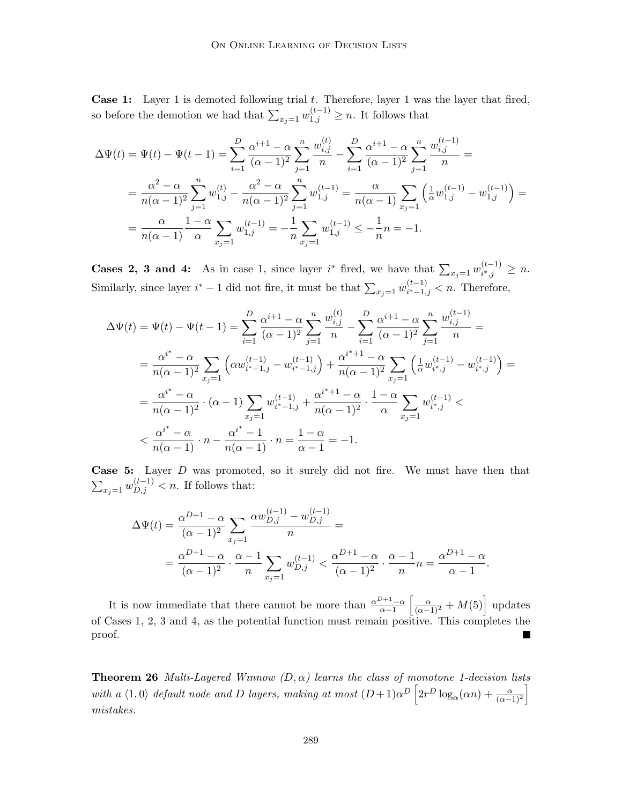Case 1: Layer 1 is demoted following trial t. Therefore, layer 1 was the layer that fired, so before the demotion we had that  $\sum_{x_j=1}^{\infty} w_{1,j}^{(t-1)} \geq n$ . It follows that

$$
\Delta\Psi(t) = \Psi(t) - \Psi(t-1) = \sum_{i=1}^{D} \frac{\alpha^{i+1} - \alpha}{(\alpha - 1)^2} \sum_{j=1}^{n} \frac{w_{i,j}^{(t)}}{n} - \sum_{i=1}^{D} \frac{\alpha^{i+1} - \alpha}{(\alpha - 1)^2} \sum_{j=1}^{n} \frac{w_{i,j}^{(t-1)}}{n} =
$$
  

$$
= \frac{\alpha^2 - \alpha}{n(\alpha - 1)^2} \sum_{j=1}^{n} w_{1,j}^{(t)} - \frac{\alpha^2 - \alpha}{n(\alpha - 1)^2} \sum_{j=1}^{n} w_{1,j}^{(t-1)} = \frac{\alpha}{n(\alpha - 1)} \sum_{x_j=1}^{\infty} \left(\frac{1}{\alpha} w_{1,j}^{(t-1)} - w_{1,j}^{(t-1)}\right) =
$$
  

$$
= \frac{\alpha}{n(\alpha - 1)} \frac{1 - \alpha}{\alpha} \sum_{x_j=1}^{n} w_{1,j}^{(t-1)} = -\frac{1}{n} \sum_{x_j=1}^{n} w_{1,j}^{(t-1)} \le -\frac{1}{n} n = -1.
$$

**Cases 2, 3 and 4:** As in case 1, since layer i<sup>\*</sup> fired, we have that  $\sum_{x_j=1} w_{i^*,j}^{(t-1)} \geq n$ . Similarly, since layer  $i^* - 1$  did not fire, it must be that  $\sum_{x_j=1} w_{i^*-1,j}^{(t-1)} < n$ . Therefore,

$$
\Delta\Psi(t) = \Psi(t) - \Psi(t-1) = \sum_{i=1}^{D} \frac{\alpha^{i+1} - \alpha}{(\alpha - 1)^2} \sum_{j=1}^{n} \frac{w_{i,j}^{(t)}}{n} - \sum_{i=1}^{D} \frac{\alpha^{i+1} - \alpha}{(\alpha - 1)^2} \sum_{j=1}^{n} \frac{w_{i,j}^{(t-1)}}{n} =
$$
  
\n
$$
= \frac{\alpha^{i^*} - \alpha}{n(\alpha - 1)^2} \sum_{x_j=1}^{\alpha^{i^*} - 1} \left( \alpha w_{i^* - 1,j}^{(t-1)} - w_{i^* - 1,j}^{(t-1)} \right) + \frac{\alpha^{i^* + 1} - \alpha}{n(\alpha - 1)^2} \sum_{x_j=1}^{\alpha^{i^*} - 1} \left( \frac{1}{\alpha} w_{i^*,j}^{(t-1)} - w_{i^*,j}^{(t-1)} \right) =
$$
  
\n
$$
= \frac{\alpha^{i^*} - \alpha}{n(\alpha - 1)^2} \cdot (\alpha - 1) \sum_{x_j=1}^{\alpha^{i^*} - 1} w_{i^* - 1,j}^{(t-1)} + \frac{\alpha^{i^* + 1} - \alpha}{n(\alpha - 1)^2} \cdot \frac{1 - \alpha}{\alpha} \sum_{x_j=1}^{\alpha^{i^*} - 1} w_{i^*,j}^{(t-1)} <
$$
  
\n
$$
< \frac{\alpha^{i^*} - \alpha}{n(\alpha - 1)} \cdot n - \frac{\alpha^{i^*} - 1}{n(\alpha - 1)} \cdot n = \frac{1 - \alpha}{\alpha - 1} = -1.
$$

**Case 5:** Layer D was promoted, so it surely did not fire. We must have then that  $\sum_{x_j=1}^{\infty} w_{D,j}^{(t-1)}$  < n. If follows that:

$$
\Delta\Psi(t) = \frac{\alpha^{D+1} - \alpha}{(\alpha - 1)^2} \sum_{x_j=1} \frac{\alpha w_{D,j}^{(t-1)} - w_{D,j}^{(t-1)}}{n} =
$$
  
= 
$$
\frac{\alpha^{D+1} - \alpha}{(\alpha - 1)^2} \cdot \frac{\alpha - 1}{n} \sum_{x_j=1} w_{D,j}^{(t-1)} < \frac{\alpha^{D+1} - \alpha}{(\alpha - 1)^2} \cdot \frac{\alpha - 1}{n} n = \frac{\alpha^{D+1} - \alpha}{\alpha - 1}.
$$

 $\left[\frac{\alpha}{(\alpha-1)^2} + M(5)\right]$  updates It is now immediate that there cannot be more than  $\frac{\alpha^{D+1}-\alpha}{\alpha-1}$ of Cases 1, 2, 3 and 4, as the potential function must remain positive. This completes the proof.  $\blacksquare$ 

**Theorem 26** Multi-Layered Winnow  $(D, \alpha)$  learns the class of monotone 1-decision lists with a  $\langle 1, 0 \rangle$  default node and D layers, making at most  $(D+1)\alpha^D \left[2r^D \log_\alpha(\alpha n) + \frac{\alpha}{(\alpha-1)^2}\right]$ i mistakes.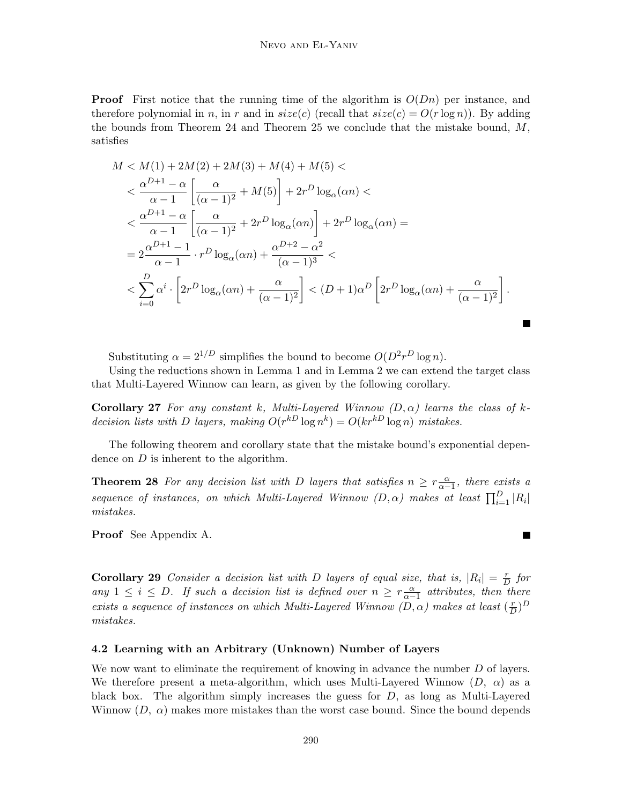**Proof** First notice that the running time of the algorithm is  $O(Dn)$  per instance, and therefore polynomial in n, in r and in  $size(c)$  (recall that  $size(c) = O(r \log n)$ ). By adding the bounds from Theorem 24 and Theorem 25 we conclude that the mistake bound,  $M$ , satisfies

$$
M < M(1) + 2M(2) + 2M(3) + M(4) + M(5) \n
$$
< \frac{\alpha^{D+1} - \alpha}{\alpha - 1} \left[ \frac{\alpha}{(\alpha - 1)^2} + M(5) \right] + 2r^D \log_{\alpha}(\alpha n) \n< \frac{\alpha^{D+1} - \alpha}{\alpha - 1} \left[ \frac{\alpha}{(\alpha - 1)^2} + 2r^D \log_{\alpha}(\alpha n) \right] + 2r^D \log_{\alpha}(\alpha n) =
$$
\n
$$
= 2 \frac{\alpha^{D+1} - 1}{\alpha - 1} \cdot r^D \log_{\alpha}(\alpha n) + \frac{\alpha^{D+2} - \alpha^2}{(\alpha - 1)^3} \n< \sum_{i=0}^{D} \alpha^i \cdot \left[ 2r^D \log_{\alpha}(\alpha n) + \frac{\alpha}{(\alpha - 1)^2} \right] < (D+1)\alpha^D \left[ 2r^D \log_{\alpha}(\alpha n) + \frac{\alpha}{(\alpha - 1)^2} \right].
$$
$$

Substituting  $\alpha = 2^{1/D}$  simplifies the bound to become  $O(D^2 r^D \log n)$ .

Using the reductions shown in Lemma 1 and in Lemma 2 we can extend the target class that Multi-Layered Winnow can learn, as given by the following corollary.

**Corollary 27** For any constant k, Multi-Layered Winnow  $(D, \alpha)$  learns the class of kdecision lists with D layers, making  $O(r^{k} \log n^k) = O(kr^{k} \log n)$  mistakes.

The following theorem and corollary state that the mistake bound's exponential dependence on D is inherent to the algorithm.

**Theorem 28** For any decision list with D layers that satisfies  $n \geq r \frac{\alpha}{\alpha-1}$ , there exists a sequence of instances, on which Multi-Layered Winnow  $(D, \alpha)$  makes at least  $\prod_{i=1}^{D} |R_i|$ mistakes.

**Proof** See Appendix A.

**Corollary 29** Consider a decision list with D layers of equal size, that is,  $|R_i| = \frac{r}{D}$  for any  $1 \leq i \leq D$ . If such a decision list is defined over  $n \geq r \frac{\alpha}{\alpha-1}$  attributes, then there exists a sequence of instances on which Multi-Layered Winnow  $(D, \alpha)$  makes at least  $(\frac{r}{D})^D$ mistakes.

### **4.2 Learning with an Arbitrary (Unknown) Number of Layers**

We now want to eliminate the requirement of knowing in advance the number D of layers. We therefore present a meta-algorithm, which uses Multi-Layered Winnow  $(D, \alpha)$  as a black box. The algorithm simply increases the guess for  $D$ , as long as Multi-Layered Winnow  $(D, \alpha)$  makes more mistakes than the worst case bound. Since the bound depends

 $\blacksquare$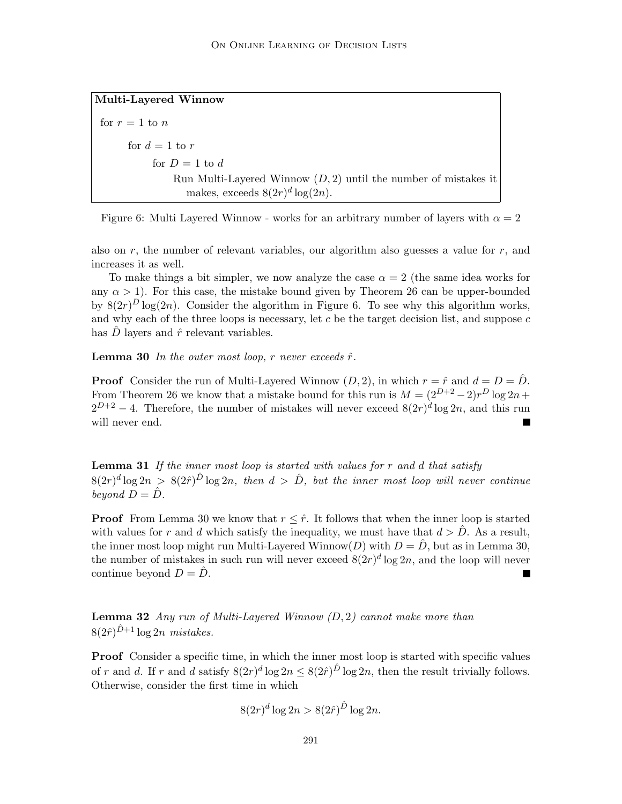```
Multi-Layered Winnow
for r = 1 to nfor d=1 to r
```
for  $D=1$  to d Run Multi-Layered Winnow  $(D, 2)$  until the number of mistakes it makes, exceeds  $8(2r)^d \log(2n)$ .

Figure 6: Multi Layered Winnow - works for an arbitrary number of layers with  $\alpha = 2$ 

also on  $r$ , the number of relevant variables, our algorithm also guesses a value for  $r$ , and increases it as well.

To make things a bit simpler, we now analyze the case  $\alpha = 2$  (the same idea works for any  $\alpha > 1$ ). For this case, the mistake bound given by Theorem 26 can be upper-bounded by  $8(2r)^D \log(2n)$ . Consider the algorithm in Figure 6. To see why this algorithm works, and why each of the three loops is necessary, let  $c$  be the target decision list, and suppose  $c$ has D layers and  $\hat{r}$  relevant variables.

**Lemma 30** In the outer most loop, r never exceeds  $\hat{r}$ .

**Proof** Consider the run of Multi-Layered Winnow  $(D, 2)$ , in which  $r = \hat{r}$  and  $d = D = \hat{D}$ . From Theorem 26 we know that a mistake bound for this run is  $M = (2^{D+2} - 2)r^D \log 2n +$  $2^{D+2} - 4$ . Therefore, the number of mistakes will never exceed  $8(2r)^d \log 2n$ , and this run will never end.

**Lemma 31** If the inner most loop is started with values for r and d that satisfy  $8(2r)^d \log 2n > 8(2\hat{r})^{\hat{D}} \log 2n$ , then  $d > \hat{D}$ , but the inner most loop will never continue beyond  $D = \hat{D}$ .

**Proof** From Lemma 30 we know that  $r \leq \hat{r}$ . It follows that when the inner loop is started with values for r and d which satisfy the inequality, we must have that  $d > D$ . As a result, the inner most loop might run Multi-Layered Winnow $(D)$  with  $D = D$ , but as in Lemma 30, the number of mistakes in such run will never exceed  $8(2r)^d \log 2n$ , and the loop will never continue beyond  $D = D$ .

**Lemma 32** Any run of Multi-Layered Winnow (D, 2) cannot make more than  $8(2\hat{r})^{\hat{D}+1}$  log  $2n$  mistakes.

**Proof** Consider a specific time, in which the inner most loop is started with specific values of r and d. If r and d satisfy  $8(2r)^d \log 2n \leq 8(2\hat{r})^{\hat{D}} \log 2n$ , then the result trivially follows. Otherwise, consider the first time in which

$$
8(2r)^d \log 2n > 8(2\hat{r})^{\hat{D}} \log 2n.
$$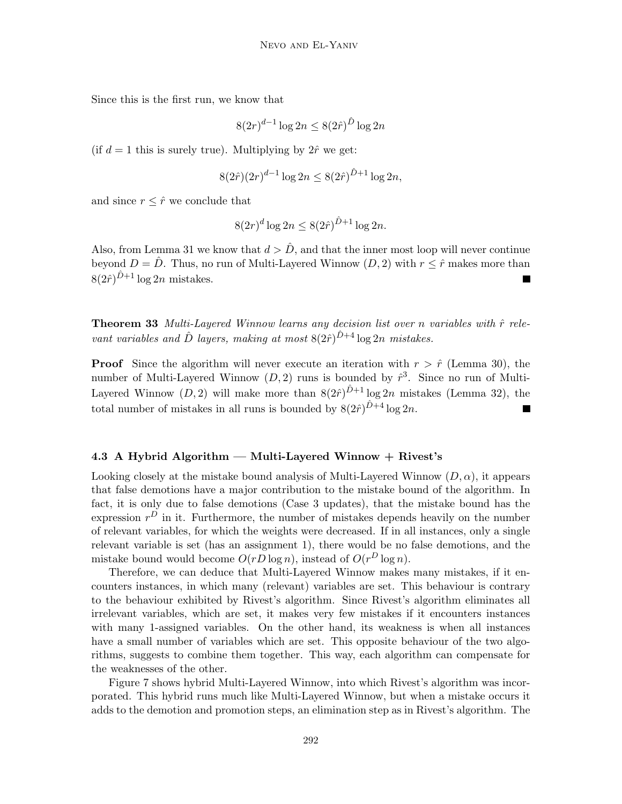Since this is the first run, we know that

$$
8(2r)^{d-1}\log 2n \le 8(2\hat{r})^{\hat{D}}\log 2n
$$

(if  $d = 1$  this is surely true). Multiplying by  $2\hat{r}$  we get:

$$
8(2\hat{r})(2r)^{d-1}\log 2n \le 8(2\hat{r})^{\hat{D}+1}\log 2n,
$$

and since  $r \leq \hat{r}$  we conclude that

$$
8(2r)^d \log 2n \le 8(2\hat{r})^{\hat{D}+1} \log 2n.
$$

Also, from Lemma 31 we know that  $d > D$ , and that the inner most loop will never continue beyond  $D = \hat{D}$ . Thus, no run of Multi-Layered Winnow  $(D, 2)$  with  $r \leq \hat{r}$  makes more than  $8(2\hat{r})^{D+1}$  log 2n mistakes. Ξ

**Theorem 33** Multi-Layered Winnow learns any decision list over n variables with  $\hat{r}$  relevant variables and  $\hat{D}$  layers, making at most  $8(2\hat{r})^{\hat{D}+4} \log 2n$  mistakes.

**Proof** Since the algorithm will never execute an iteration with  $r > \hat{r}$  (Lemma 30), the number of Multi-Layered Winnow  $(D, 2)$  runs is bounded by  $\hat{r}^3$ . Since no run of Multi-Layered Winnow  $(D, 2)$  will make more than  $8(2\hat{r})^{\hat{D}+1}$  log 2n mistakes (Lemma 32), the total number of mistakes in all runs is bounded by  $8(2\hat{r})^{\hat{D}+4} \log 2n$ .

#### **4.3 A Hybrid Algorithm — Multi-Layered Winnow + Rivest's**

Looking closely at the mistake bound analysis of Multi-Layered Winnow  $(D, \alpha)$ , it appears that false demotions have a major contribution to the mistake bound of the algorithm. In fact, it is only due to false demotions (Case 3 updates), that the mistake bound has the expression  $r^D$  in it. Furthermore, the number of mistakes depends heavily on the number of relevant variables, for which the weights were decreased. If in all instances, only a single relevant variable is set (has an assignment 1), there would be no false demotions, and the mistake bound would become  $O(rD\log n)$ , instead of  $O(r^D\log n)$ .

Therefore, we can deduce that Multi-Layered Winnow makes many mistakes, if it encounters instances, in which many (relevant) variables are set. This behaviour is contrary to the behaviour exhibited by Rivest's algorithm. Since Rivest's algorithm eliminates all irrelevant variables, which are set, it makes very few mistakes if it encounters instances with many 1-assigned variables. On the other hand, its weakness is when all instances have a small number of variables which are set. This opposite behaviour of the two algorithms, suggests to combine them together. This way, each algorithm can compensate for the weaknesses of the other.

Figure 7 shows hybrid Multi-Layered Winnow, into which Rivest's algorithm was incorporated. This hybrid runs much like Multi-Layered Winnow, but when a mistake occurs it adds to the demotion and promotion steps, an elimination step as in Rivest's algorithm. The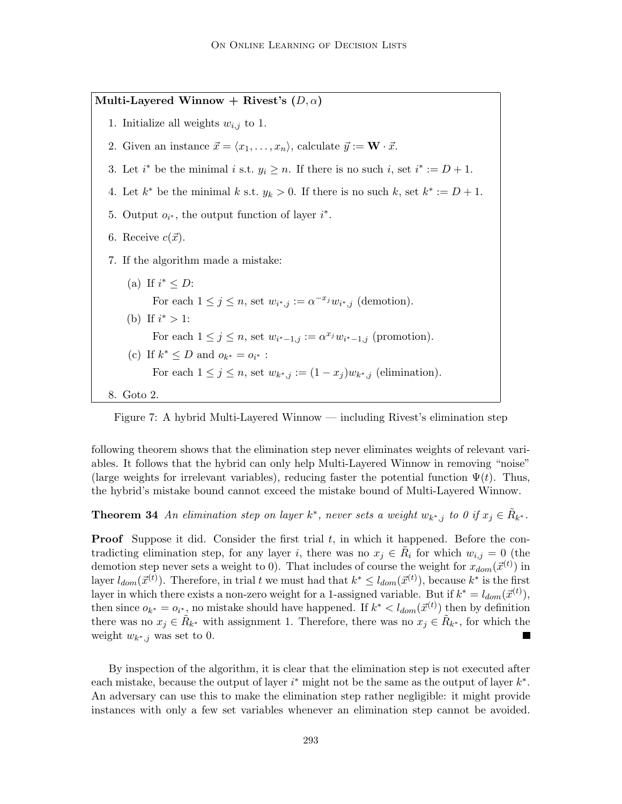**Multi-Layered Winnow + Rivest's**  $(D, \alpha)$ 1. Initialize all weights  $w_{i,j}$  to 1. 2. Given an instance  $\vec{x} = \langle x_1, \ldots, x_n \rangle$ , calculate  $\vec{y} := \mathbf{W} \cdot \vec{x}$ . 3. Let  $i^*$  be the minimal  $i$  s.t.  $y_i \geq n$ . If there is no such  $i$ , set  $i^* := D + 1$ . 4. Let  $k^*$  be the minimal k s.t.  $y_k > 0$ . If there is no such k, set  $k^* := D + 1$ . 5. Output  $o_{i^*}$ , the output function of layer  $i^*$ . 6. Receive  $c(\vec{x})$ . 7. If the algorithm made a mistake: (a) If  $i^* \leq D$ : For each  $1 \leq j \leq n$ , set  $w_{i^*,j} := \alpha^{-x_j} w_{i^*,j}$  (demotion). (b) If  $i^* > 1$ : For each  $1 \leq j \leq n$ , set  $w_{i^*-1,j} := \alpha^{x_j} w_{i^*-1,j}$  (promotion). (c) If  $k^* \leq D$  and  $o_{k^*} = o_{i^*}$ : For each  $1 \leq j \leq n$ , set  $w_{k^*,j} := (1-x_j)w_{k^*,j}$  (elimination). 8. Goto 2.



following theorem shows that the elimination step never eliminates weights of relevant variables. It follows that the hybrid can only help Multi-Layered Winnow in removing "noise" (large weights for irrelevant variables), reducing faster the potential function  $\Psi(t)$ . Thus, the hybrid's mistake bound cannot exceed the mistake bound of Multi-Layered Winnow.

**Theorem 34** An elimination step on layer  $k^*$ , never sets a weight  $w_{k^*,j}$  to 0 if  $x_j \in R_{k^*}$ .

**Proof** Suppose it did. Consider the first trial t, in which it happened. Before the contradicting elimination step, for any layer i, there was no  $x_i \in R_i$  for which  $w_{i,j} = 0$  (the demotion step never sets a weight to 0). That includes of course the weight for  $x_{dom}(\vec{x}^{(t)})$  in layer  $l_{dom}(\vec{x}^{(t)})$ . Therefore, in trial t we must had that  $k^* \leq l_{dom}(\vec{x}^{(t)})$ , because  $k^*$  is the first layer in which there exists a non-zero weight for a 1-assigned variable. But if  $k^* = l_{dom}(\vec{x}^{(t)}),$ then since  $o_{k^*} = o_{i^*}$ , no mistake should have happened. If  $k^* < l_{dom}(\vec{x}^{(t)})$  then by definition there was no  $x_j \in R_{k^*}$  with assignment 1. Therefore, there was no  $x_j \in R_{k^*}$ , for which the weight  $w_{k^*,j}$  was set to 0. **In the Second State** 

By inspection of the algorithm, it is clear that the elimination step is not executed after each mistake, because the output of layer  $i^*$  might not be the same as the output of layer  $k^*$ . An adversary can use this to make the elimination step rather negligible: it might provide instances with only a few set variables whenever an elimination step cannot be avoided.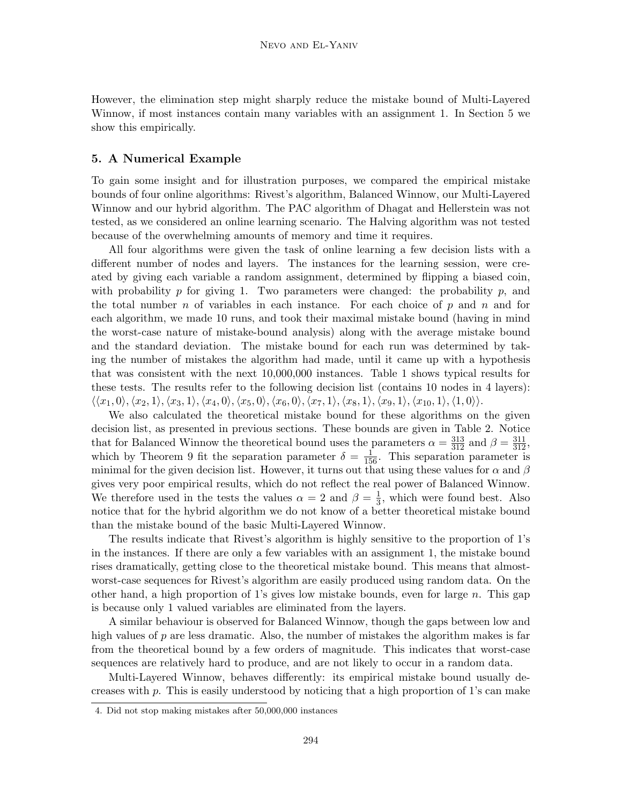However, the elimination step might sharply reduce the mistake bound of Multi-Layered Winnow, if most instances contain many variables with an assignment 1. In Section 5 we show this empirically.

# **5. A Numerical Example**

To gain some insight and for illustration purposes, we compared the empirical mistake bounds of four online algorithms: Rivest's algorithm, Balanced Winnow, our Multi-Layered Winnow and our hybrid algorithm. The PAC algorithm of Dhagat and Hellerstein was not tested, as we considered an online learning scenario. The Halving algorithm was not tested because of the overwhelming amounts of memory and time it requires.

All four algorithms were given the task of online learning a few decision lists with a different number of nodes and layers. The instances for the learning session, were created by giving each variable a random assignment, determined by flipping a biased coin, with probability p for giving 1. Two parameters were changed: the probability p, and the total number n of variables in each instance. For each choice of p and n and for each algorithm, we made 10 runs, and took their maximal mistake bound (having in mind the worst-case nature of mistake-bound analysis) along with the average mistake bound and the standard deviation. The mistake bound for each run was determined by taking the number of mistakes the algorithm had made, until it came up with a hypothesis that was consistent with the next 10,000,000 instances. Table 1 shows typical results for these tests. The results refer to the following decision list (contains 10 nodes in 4 layers):  $\langle\langle x_1, 0\rangle, \langle x_2, 1\rangle, \langle x_3, 1\rangle, \langle x_4, 0\rangle, \langle x_5, 0\rangle, \langle x_6, 0\rangle, \langle x_7, 1\rangle, \langle x_8, 1\rangle, \langle x_9, 1\rangle, \langle x_{10}, 1\rangle, \langle 1, 0\rangle\rangle.$ 

We also calculated the theoretical mistake bound for these algorithms on the given decision list, as presented in previous sections. These bounds are given in Table 2. Notice that for Balanced Winnow the theoretical bound uses the parameters  $\alpha = \frac{313}{312}$  and  $\beta = \frac{311}{312}$ , which by Theorem 9 fit the separation parameter  $\delta = \frac{1}{156}$ . This separation parameter is minimal for the given decision list. However, it turns out that using these values for  $\alpha$  and  $\beta$ gives very poor empirical results, which do not reflect the real power of Balanced Winnow. We therefore used in the tests the values  $\alpha = 2$  and  $\beta = \frac{1}{3}$ , which were found best. Also notice that for the hybrid algorithm we do not know of a better theoretical mistake bound than the mistake bound of the basic Multi-Layered Winnow.

The results indicate that Rivest's algorithm is highly sensitive to the proportion of 1's in the instances. If there are only a few variables with an assignment 1, the mistake bound rises dramatically, getting close to the theoretical mistake bound. This means that almostworst-case sequences for Rivest's algorithm are easily produced using random data. On the other hand, a high proportion of 1's gives low mistake bounds, even for large n. This gap is because only 1 valued variables are eliminated from the layers.

A similar behaviour is observed for Balanced Winnow, though the gaps between low and high values of  $p$  are less dramatic. Also, the number of mistakes the algorithm makes is far from the theoretical bound by a few orders of magnitude. This indicates that worst-case sequences are relatively hard to produce, and are not likely to occur in a random data.

Multi-Layered Winnow, behaves differently: its empirical mistake bound usually decreases with p. This is easily understood by noticing that a high proportion of 1's can make

<sup>4.</sup> Did not stop making mistakes after 50,000,000 instances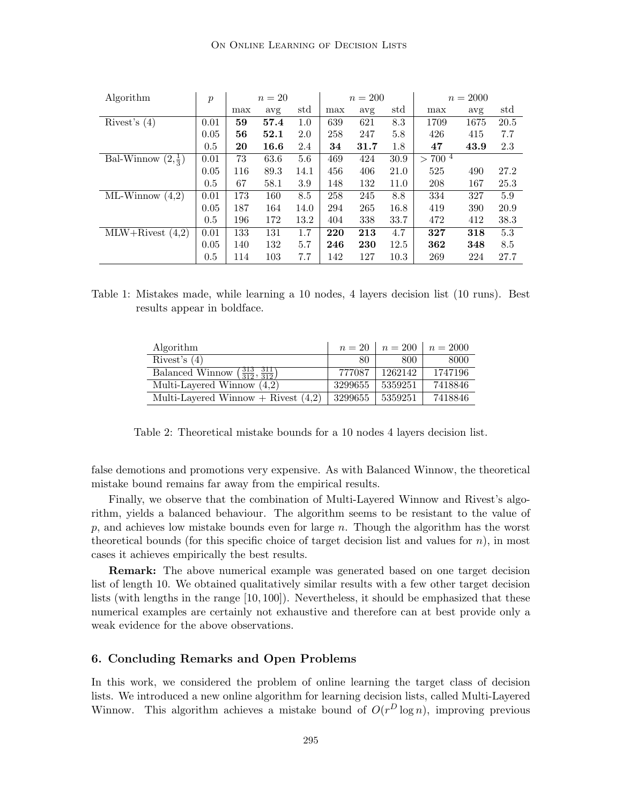| Algorithm                    | $\mathfrak{p}$ | $n=20$ |      |      | $n = 200$ |      |      | $n = 2000$                      |      |      |
|------------------------------|----------------|--------|------|------|-----------|------|------|---------------------------------|------|------|
|                              |                | max    | avg  | std  | max       | avg  | std  | max                             | avg  | std  |
| Rivest's $(4)$               | 0.01           | 59     | 57.4 | 1.0  | 639       | 621  | 8.3  | 1709                            | 1675 | 20.5 |
|                              | 0.05           | 56     | 52.1 | 2.0  | 258       | 247  | 5.8  | 426                             | 415  | 7.7  |
|                              | 0.5            | 20     | 16.6 | 2.4  | 34        | 31.7 | 1.8  | 47                              | 43.9 | 2.3  |
| Bal-Winnow $(2,\frac{1}{3})$ | 0.01           | 73     | 63.6 | 5.6  | 469       | 424  | 30.9 | $700^{\frac{1}{4}}$<br>$\rm{>}$ |      |      |
|                              | 0.05           | 116    | 89.3 | 14.1 | 456       | 406  | 21.0 | 525                             | 490  | 27.2 |
|                              | 0.5            | 67     | 58.1 | 3.9  | 148       | 132  | 11.0 | 208                             | 167  | 25.3 |
| $ML-Winnow(4,2)$             | 0.01           | 173    | 160  | 8.5  | 258       | 245  | 8.8  | 334                             | 327  | 5.9  |
|                              | 0.05           | 187    | 164  | 14.0 | 294       | 265  | 16.8 | 419                             | 390  | 20.9 |
|                              | 0.5            | 196    | 172  | 13.2 | 404       | 338  | 33.7 | 472                             | 412  | 38.3 |
| $MLW+Rivest(4,2)$            | 0.01           | 133    | 131  | 1.7  | 220       | 213  | 4.7  | 327                             | 318  | 5.3  |
|                              | 0.05           | 140    | 132  | 5.7  | 246       | 230  | 12.5 | 362                             | 348  | 8.5  |
|                              | 0.5            | 114    | 103  | 7.7  | 142       | 127  | 10.3 | 269                             | 224  | 27.7 |

| Table 1: Mistakes made, while learning a 10 nodes, 4 layers decision list (10 runs). Best |  |  |  |  |  |
|-------------------------------------------------------------------------------------------|--|--|--|--|--|
| results appear in boldface.                                                               |  |  |  |  |  |

| Algorithm                                                       | $n=20$  |         | $n = 200$ $n = 2000$ |
|-----------------------------------------------------------------|---------|---------|----------------------|
| Rivest's $(4)$                                                  | 80      | 800     | 8000                 |
| Balanced Winnow $\left(\frac{313}{312}, \frac{311}{312}\right)$ | 777087  | 1262142 | 1747196              |
| Multi-Layered Winnow $(4,2)$                                    | 3299655 | 5359251 | 7418846              |
| Multi-Layered Winnow $+$ Rivest $(4,2)$                         | 3299655 | 5359251 | 7418846              |

Table 2: Theoretical mistake bounds for a 10 nodes 4 layers decision list.

false demotions and promotions very expensive. As with Balanced Winnow, the theoretical mistake bound remains far away from the empirical results.

Finally, we observe that the combination of Multi-Layered Winnow and Rivest's algorithm, yields a balanced behaviour. The algorithm seems to be resistant to the value of p, and achieves low mistake bounds even for large  $n$ . Though the algorithm has the worst theoretical bounds (for this specific choice of target decision list and values for  $n$ ), in most cases it achieves empirically the best results.

**Remark:** The above numerical example was generated based on one target decision list of length 10. We obtained qualitatively similar results with a few other target decision lists (with lengths in the range [10, 100]). Nevertheless, it should be emphasized that these numerical examples are certainly not exhaustive and therefore can at best provide only a weak evidence for the above observations.

### **6. Concluding Remarks and Open Problems**

In this work, we considered the problem of online learning the target class of decision lists. We introduced a new online algorithm for learning decision lists, called Multi-Layered Winnow. This algorithm achieves a mistake bound of  $O(r^D \log n)$ , improving previous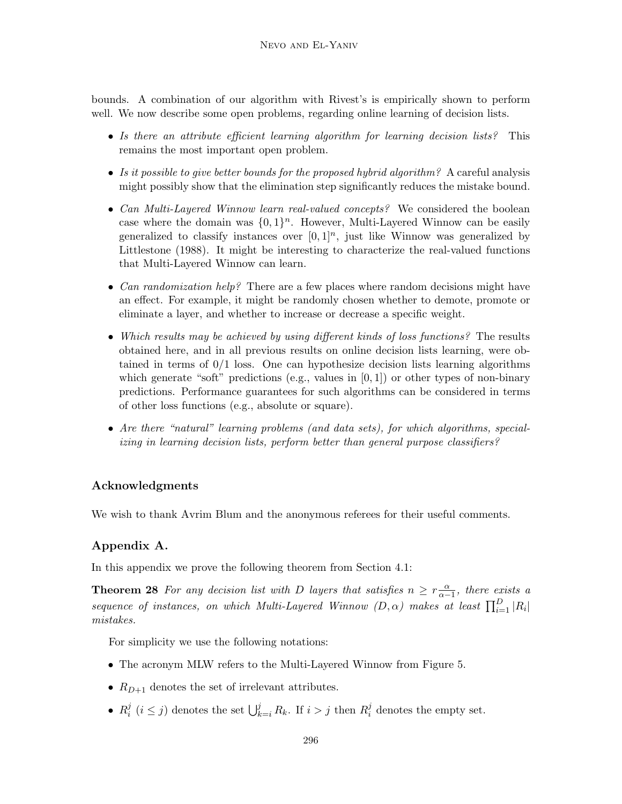bounds. A combination of our algorithm with Rivest's is empirically shown to perform well. We now describe some open problems, regarding online learning of decision lists.

- Is there an attribute efficient learning algorithm for learning decision lists? This remains the most important open problem.
- Is it possible to give better bounds for the proposed hybrid algorithm? A careful analysis might possibly show that the elimination step significantly reduces the mistake bound.
- Can Multi-Layered Winnow learn real-valued concepts? We considered the boolean case where the domain was  $\{0,1\}^n$ . However, Multi-Layered Winnow can be easily generalized to classify instances over  $[0, 1]^n$ , just like Winnow was generalized by Littlestone (1988). It might be interesting to characterize the real-valued functions that Multi-Layered Winnow can learn.
- Can randomization help? There are a few places where random decisions might have an effect. For example, it might be randomly chosen whether to demote, promote or eliminate a layer, and whether to increase or decrease a specific weight.
- Which results may be achieved by using different kinds of loss functions? The results obtained here, and in all previous results on online decision lists learning, were obtained in terms of  $0/1$  loss. One can hypothesize decision lists learning algorithms which generate "soft" predictions (e.g., values in  $[0,1]$ ) or other types of non-binary predictions. Performance guarantees for such algorithms can be considered in terms of other loss functions (e.g., absolute or square).
- Are there "natural" learning problems (and data sets), for which algorithms, specializing in learning decision lists, perform better than general purpose classifiers?

# **Acknowledgments**

We wish to thank Avrim Blum and the anonymous referees for their useful comments.

# **Appendix A.**

In this appendix we prove the following theorem from Section 4.1:

**Theorem 28** For any decision list with D layers that satisfies  $n \geq r \frac{\alpha}{\alpha-1}$ , there exists a sequence of instances, on which Multi-Layered Winnow  $(D, \alpha)$  makes at least  $\prod_{i=1}^{D} |R_i|$ mistakes.

For simplicity we use the following notations:

- The acronym MLW refers to the Multi-Layered Winnow from Figure 5.
- $R_{D+1}$  denotes the set of irrelevant attributes.
- $R_i^j$   $(i \leq j)$  denotes the set  $\bigcup_{k=i}^j R_k$ . If  $i > j$  then  $R_i^j$  denotes the empty set.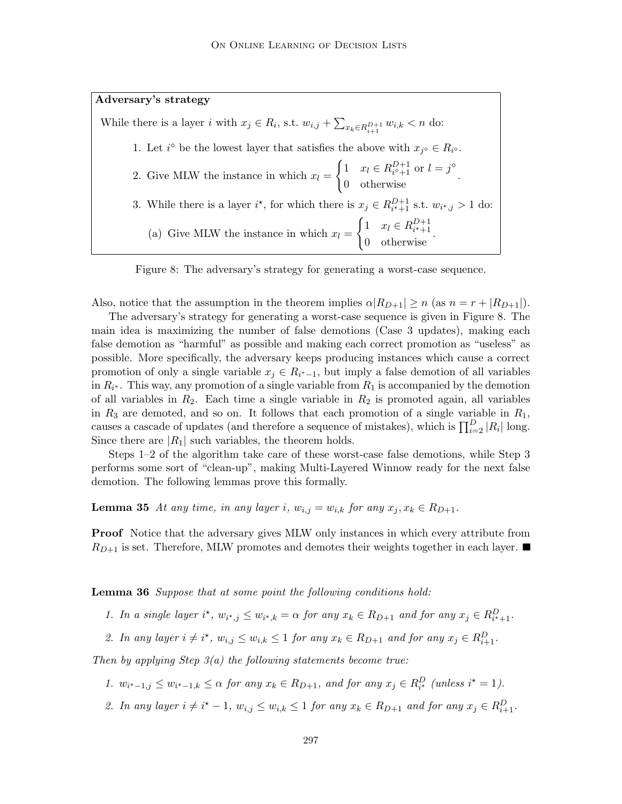# **Adversary's strategy**

While there is a layer *i* with  $x_j \in R_i$ , s.t.  $w_{i,j} + \sum_{x_k \in R_{i+1}^{D+1}} w_{i,k} < n$  do: 1. Let  $i^{\diamond}$  be the lowest layer that satisfies the above with  $x_{j^{\diamond}} \in R_{i^{\diamond}}$ . 2. Give MLW the instance in which  $x_l =$  $\begin{cases} 1 & x_l \in R_{i^{\diamond}+1}^{D+1} \text{ or } l = j^{\diamond} \\ 0 & \text{otherwise} \end{cases}$ . 3. While there is a layer  $i^*$ , for which there is  $x_j \in R_{i^*+1}^{D+1}$  s.t.  $w_{i^*,j} > 1$  do: (a) Give MLW the instance in which  $x_l =$  $\begin{cases} 1 & x_l \in R_{i^{\star}+1}^{D+1} \\ 0 & \text{otherwise} \end{cases}.$ 

Figure 8: The adversary's strategy for generating a worst-case sequence.

Also, notice that the assumption in the theorem implies  $\alpha | R_{D+1} | \geq n$  (as  $n = r + |R_{D+1}|$ ).

The adversary's strategy for generating a worst-case sequence is given in Figure 8. The main idea is maximizing the number of false demotions (Case 3 updates), making each false demotion as "harmful" as possible and making each correct promotion as "useless" as possible. More specifically, the adversary keeps producing instances which cause a correct promotion of only a single variable  $x_j \in R_{i^*-1}$ , but imply a false demotion of all variables in  $R_{i^*}$ . This way, any promotion of a single variable from  $R_1$  is accompanied by the demotion of all variables in  $R_2$ . Each time a single variable in  $R_2$  is promoted again, all variables in  $R_3$  are demoted, and so on. It follows that each promotion of a single variable in  $R_1$ , causes a cascade of updates (and therefore a sequence of mistakes), which is  $\prod_{i=2}^{D} |R_i|$  long. Since there are  $|R_1|$  such variables, the theorem holds.

Steps 1–2 of the algorithm take care of these worst-case false demotions, while Step 3 performs some sort of "clean-up", making Multi-Layered Winnow ready for the next false demotion. The following lemmas prove this formally.

**Lemma 35** At any time, in any layer i,  $w_{i,j} = w_{i,k}$  for any  $x_j, x_k \in R_{D+1}$ .

**Proof** Notice that the adversary gives MLW only instances in which every attribute from  $R_{D+1}$  is set. Therefore, MLW promotes and demotes their weights together in each layer.

**Lemma 36** Suppose that at some point the following conditions hold:

- 1. In a single layer  $i^*$ ,  $w_{i^*,j} \leq w_{i^*,k} = \alpha$  for any  $x_k \in R_{D+1}$  and for any  $x_j \in R_{i^*+1}^D$ .
- 2. In any layer  $i \neq i^*$ ,  $w_{i,j} \leq w_{i,k} \leq 1$  for any  $x_k \in R_{D+1}$  and for any  $x_j \in R_{i+1}^D$ .

Then by applying Step  $3(a)$  the following statements become true:

- 1.  $w_{i^*-1,j} \leq w_{i^*-1,k} \leq \alpha$  for any  $x_k \in R_{D+1}$ , and for any  $x_j \in R_{i^*}^D$  (unless  $i^* = 1$ ).
- 2. In any layer  $i \neq i^* 1$ ,  $w_{i,j} \leq w_{i,k} \leq 1$  for any  $x_k \in R_{D+1}$  and for any  $x_j \in R_{i+1}^D$ .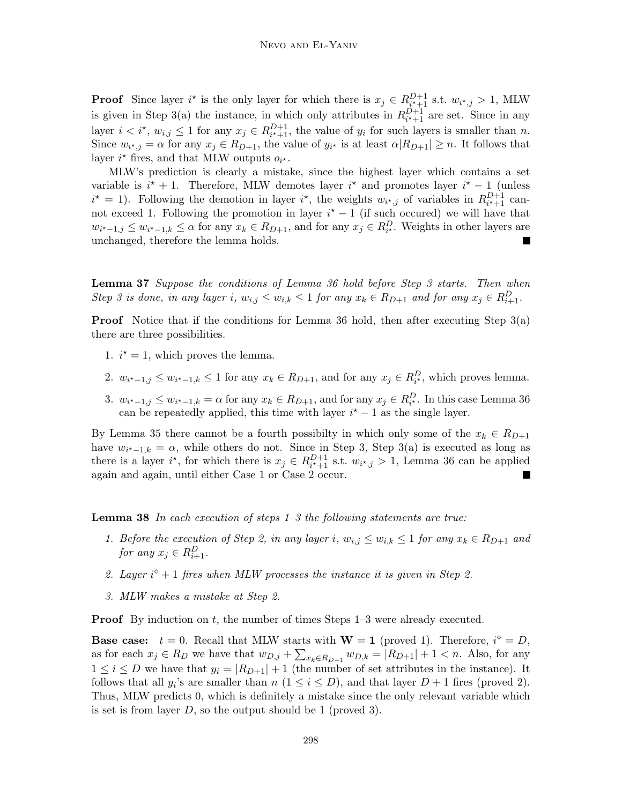**Proof** Since layer i<sup>\*</sup> is the only layer for which there is  $x_j \in R_{i^*+1}^{D+1}$  s.t.  $w_{i^*,j} > 1$ , MLW is given in Step 3(a) the instance, in which only attributes in  $R_{i^*+1}^{D+1}$  are set. Since in any layer  $i < i^*$ ,  $w_{i,j} \leq 1$  for any  $x_j \in R_{i^*+1}^{D+1}$ , the value of  $y_i$  for such layers is smaller than n. Since  $w_{i^*,j} = \alpha$  for any  $x_j \in R_{D+1}$ , the value of  $y_{i^*}$  is at least  $\alpha | R_{D+1} | \geq n$ . It follows that layer  $i^*$  fires, and that MLW outputs  $o_{i^*}$ .

MLW's prediction is clearly a mistake, since the highest layer which contains a set variable is  $i^* + 1$ . Therefore, MLW demotes layer  $i^*$  and promotes layer  $i^* - 1$  (unless  $i^* = 1$ ). Following the demotion in layer  $i^*$ , the weights  $w_{i^*,j}$  of variables in  $R_{i^*+1}^{D+1}$  cannot exceed 1. Following the promotion in layer  $i^* - 1$  (if such occurred) we will have that  $w_{i^*-1,j} \leq w_{i^*-1,k} \leq \alpha$  for any  $x_k \in R_{D+1}$ , and for any  $x_j \in R_{i^*}^D$ . Weights in other layers are unchanged, therefore the lemma holds.

**Lemma 37** Suppose the conditions of Lemma 36 hold before Step 3 starts. Then when Step 3 is done, in any layer i,  $w_{i,j} \le w_{i,k} \le 1$  for any  $x_k \in R_{D+1}$  and for any  $x_j \in R_{i+1}^D$ .

**Proof** Notice that if the conditions for Lemma 36 hold, then after executing Step 3(a) there are three possibilities.

- 1.  $i^* = 1$ , which proves the lemma.
- 2.  $w_{i^*-1,j} \leq w_{i^*-1,k} \leq 1$  for any  $x_k \in R_{D+1}$ , and for any  $x_j \in R_{i^*}^D$ , which proves lemma.
- 3.  $w_{i^*-1,j} \leq w_{i^*-1,k} = \alpha$  for any  $x_k \in R_{D+1}$ , and for any  $x_j \in R_{i^*}^D$ . In this case Lemma 36 can be repeatedly applied, this time with layer  $i^* - 1$  as the single layer.

By Lemma 35 there cannot be a fourth possibilty in which only some of the  $x_k \in R_{D+1}$ have  $w_{i^*-1,k} = \alpha$ , while others do not. Since in Step 3, Step 3(a) is executed as long as there is a layer  $i^*$ , for which there is  $x_j \in R_{i^*+1}^{D+1}$  s.t.  $w_{i^*,j} > 1$ , Lemma 36 can be applied again and again, until either Case 1 or Case 2 occur.

**Lemma 38** In each execution of steps 1–3 the following statements are true:

- 1. Before the execution of Step 2, in any layer i,  $w_{i,j} \leq w_{i,k} \leq 1$  for any  $x_k \in R_{D+1}$  and for any  $x_j \in R_{i+1}^D$ .
- 2. Layer  $i^{\diamond}+1$  fires when MLW processes the instance it is given in Step 2.
- 3. MLW makes a mistake at Step 2.

**Proof** By induction on t, the number of times Steps 1–3 were already executed.

**Base case:**  $t = 0$ . Recall that MLW starts with  $W = 1$  (proved 1). Therefore,  $i^{\diamond} = D$ , as for each  $x_j \in R_D$  we have that  $w_{D,j} + \sum_{x_k \in R_{D+1}} w_{D,k} = |R_{D+1}| + 1 < n$ . Also, for any  $1 \leq i \leq D$  we have that  $y_i = |R_{D+1}| + 1$  (the number of set attributes in the instance). It follows that all  $y_i$ 's are smaller than  $n (1 \leq i \leq D)$ , and that layer  $D + 1$  fires (proved 2). Thus, MLW predicts 0, which is definitely a mistake since the only relevant variable which is set is from layer  $D$ , so the output should be 1 (proved 3).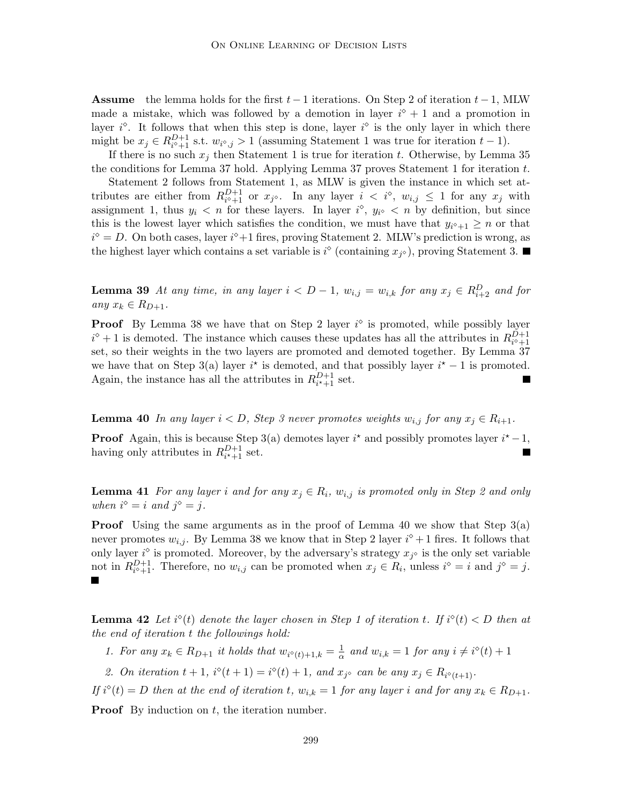**Assume** the lemma holds for the first  $t - 1$  iterations. On Step 2 of iteration  $t - 1$ , MLW made a mistake, which was followed by a demotion in layer  $i^{\circ} + 1$  and a promotion in layer  $i^{\diamond}$ . It follows that when this step is done, layer  $i^{\diamond}$  is the only layer in which there might be  $x_j \in R_{i^{\diamond}+1}^{D+1}$  s.t.  $w_{i^{\diamond},j} > 1$  (assuming Statement 1 was true for iteration  $t-1$ ).

If there is no such  $x_j$  then Statement 1 is true for iteration t. Otherwise, by Lemma 35 the conditions for Lemma 37 hold. Applying Lemma 37 proves Statement 1 for iteration  $t$ .

Statement 2 follows from Statement 1, as MLW is given the instance in which set attributes are either from  $R_{i^{\diamond}+1}^{D+1}$  or  $x_{j^{\diamond}}$ . In any layer  $i < i^{\diamond}$ ,  $w_{i,j} \leq 1$  for any  $x_j$  with assignment 1, thus  $y_i < n$  for these layers. In layer  $i^{\diamond}$ ,  $y_{i^{\diamond}} < n$  by definition, but since this is the lowest layer which satisfies the condition, we must have that  $y_{i^{\diamond}+1} \geq n$  or that  $i^{\diamond} = D$ . On both cases, layer  $i^{\diamond}+1$  fires, proving Statement 2. MLW's prediction is wrong, as the highest layer which contains a set variable is  $i^{\circ}$  (containing  $x_{i^{\circ}}$ ), proving Statement 3.

**Lemma 39** At any time, in any layer  $i < D - 1$ ,  $w_{i,j} = w_{i,k}$  for any  $x_j \in R_{i+2}^D$  and for any  $x_k \in R_{D+1}$ .

**Proof** By Lemma 38 we have that on Step 2 layer  $i^{\circ}$  is promoted, while possibly layer  $i^{\diamond}+1$  is demoted. The instance which causes these updates has all the attributes in  $R_{i^{\diamond}+1}^{\check{D}+1}$ set, so their weights in the two layers are promoted and demoted together. By Lemma 37 we have that on Step 3(a) layer  $i^*$  is demoted, and that possibly layer  $i^* - 1$  is promoted. Again, the instance has all the attributes in  $R_{i^*+1}^{D+1}$  set. П

**Lemma 40** In any layer  $i < D$ , Step 3 never promotes weights  $w_{i,j}$  for any  $x_i \in R_{i+1}$ .

**Proof** Again, this is because Step 3(a) demotes layer  $i^*$  and possibly promotes layer  $i^*-1$ , having only attributes in  $R_{i^*+1}^{D+1}$  set.

**Lemma 41** For any layer i and for any  $x_i \in R_i$ ,  $w_{i,j}$  is promoted only in Step 2 and only when  $i^{\diamond} = i$  and  $j^{\diamond} = j$ .

**Proof** Using the same arguments as in the proof of Lemma 40 we show that Step 3(a) never promotes  $w_{i,j}$ . By Lemma 38 we know that in Step 2 layer  $i^{\diamond}+1$  fires. It follows that only layer  $i^{\diamond}$  is promoted. Moreover, by the adversary's strategy  $x_{i^{\diamond}}$  is the only set variable not in  $R_{i^{\diamond}+1}^{D+1}$ . Therefore, no  $w_{i,j}$  can be promoted when  $x_j \in R_i$ , unless  $i^{\diamond} = i$  and  $j^{\diamond} = j$ .

**Lemma 42** Let  $i^{\diamond}(t)$  denote the layer chosen in Step 1 of iteration t. If  $i^{\diamond}(t) < D$  then at the end of iteration t the followings hold:

1. For any  $x_k \in R_{D+1}$  it holds that  $w_{i^{\diamond}(t)+1,k} = \frac{1}{\alpha}$  and  $w_{i,k} = 1$  for any  $i \neq i^{\diamond}(t) + 1$ 

2. On iteration  $t+1$ ,  $i^{\diamond}(t+1) = i^{\diamond}(t) + 1$ , and  $x_{j^{\diamond}}$  can be any  $x_j \in R_{i^{\diamond}(t+1)}$ .

If  $i^{\diamond}(t) = D$  then at the end of iteration t,  $w_{i,k} = 1$  for any layer i and for any  $x_k \in R_{D+1}$ .

**Proof** By induction on t, the iteration number.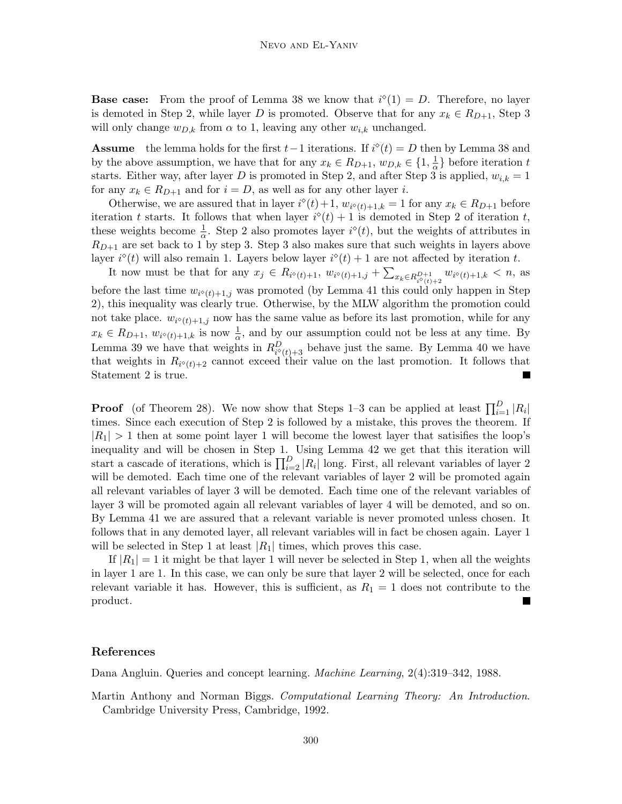**Base case:** From the proof of Lemma 38 we know that  $i^{\circ}(1) = D$ . Therefore, no layer is demoted in Step 2, while layer D is promoted. Observe that for any  $x_k \in R_{D+1}$ , Step 3 will only change  $w_{D,k}$  from  $\alpha$  to 1, leaving any other  $w_{i,k}$  unchanged.

**Assume** the lemma holds for the first  $t-1$  iterations. If  $i^{\circ}(t) = D$  then by Lemma 38 and by the above assumption, we have that for any  $x_k \in R_{D+1}$ ,  $w_{D,k} \in \{1, \frac{1}{\alpha}\}\)$  before iteration t starts. Either way, after layer D is promoted in Step 2, and after Step 3 is applied,  $w_{i,k} = 1$ for any  $x_k \in R_{D+1}$  and for  $i = D$ , as well as for any other layer i.

Otherwise, we are assured that in layer  $i^{\diamond}(t) + 1$ ,  $w_{i^{\diamond}(t)+1,k} = 1$  for any  $x_k \in R_{D+1}$  before iteration t starts. It follows that when layer  $i^{\diamond}(t) + 1$  is demoted in Step 2 of iteration t, these weights become  $\frac{1}{\alpha}$ . Step 2 also promotes layer  $i^{\diamond}(t)$ , but the weights of attributes in  $R_{D+1}$  are set back to 1 by step 3. Step 3 also makes sure that such weights in layers above layer  $i^{\diamond}(t)$  will also remain 1. Layers below layer  $i^{\diamond}(t) + 1$  are not affected by iteration t.

It now must be that for any  $x_j \in R_{i^{\diamond}(t)+1}, w_{i^{\diamond}(t)+1,j} + \sum_{x_k \in R_{i^{\diamond}(t)+2}^{D+1}} w_{i^{\diamond}(t)+1,k} < n$ , as before the last time  $w_{i^{\diamond}(t)+1,j}$  was promoted (by Lemma 41 this could only happen in Step 2), this inequality was clearly true. Otherwise, by the MLW algorithm the promotion could not take place.  $w_{i^{\diamond}(t)+1,j}$  now has the same value as before its last promotion, while for any  $x_k \in R_{D+1}, w_{i^{\diamond}(t)+1,k}$  is now  $\frac{1}{\alpha}$ , and by our assumption could not be less at any time. By Lemma 39 we have that weights in  $R_{i^{\diamond}(t)+3}^D$  behave just the same. By Lemma 40 we have that weights in  $R_{i^{\diamond}(t)+2}$  cannot exceed their value on the last promotion. It follows that Statement 2 is true.

**Proof** (of Theorem 28). We now show that Steps 1–3 can be applied at least  $\prod_{i=1}^{D} |R_i|$ times. Since each execution of Step 2 is followed by a mistake, this proves the theorem. If  $|R_1| > 1$  then at some point layer 1 will become the lowest layer that satisfies the loop's inequality and will be chosen in Step 1. Using Lemma 42 we get that this iteration will start a cascade of iterations, which is  $\prod_{i=2}^{D} |R_i|$  long. First, all relevant variables of layer 2 will be demoted. Each time one of the relevant variables of layer 2 will be promoted again all relevant variables of layer 3 will be demoted. Each time one of the relevant variables of layer 3 will be promoted again all relevant variables of layer 4 will be demoted, and so on. By Lemma 41 we are assured that a relevant variable is never promoted unless chosen. It follows that in any demoted layer, all relevant variables will in fact be chosen again. Layer 1 will be selected in Step 1 at least  $|R_1|$  times, which proves this case.

If  $|R_1| = 1$  it might be that layer 1 will never be selected in Step 1, when all the weights in layer 1 are 1. In this case, we can only be sure that layer 2 will be selected, once for each relevant variable it has. However, this is sufficient, as  $R_1 = 1$  does not contribute to the product.

### **References**

Dana Angluin. Queries and concept learning. Machine Learning, 2(4):319–342, 1988.

Martin Anthony and Norman Biggs. Computational Learning Theory: An Introduction. Cambridge University Press, Cambridge, 1992.